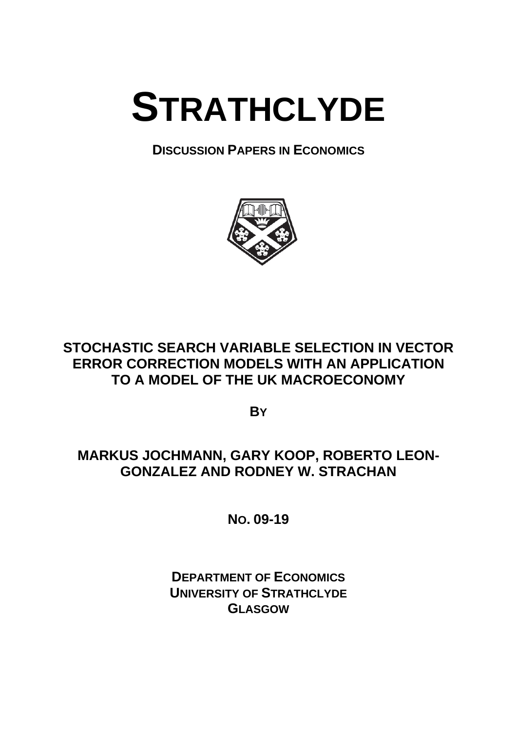# **STRATHCLYDE**

## **DISCUSSION PAPERS IN ECONOMICS**



# **STOCHASTIC SEARCH VARIABLE SELECTION IN VECTOR ERROR CORRECTION MODELS WITH AN APPLICATION TO A MODEL OF THE UK MACROECONOMY**

**BY**

# **MARKUS JOCHMANN, GARY KOOP, ROBERTO LEON-GONZALEZ AND RODNEY W. STRACHAN**

**NO. 09-19** 

**DEPARTMENT OF ECONOMICS UNIVERSITY OF STRATHCLYDE GLASGOW**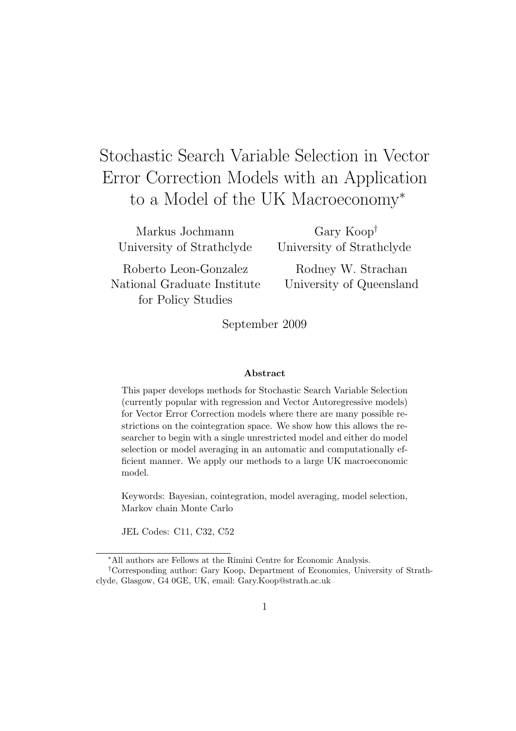# Stochastic Search Variable Selection in Vector Error Correction Models with an Application to a Model of the UK Macroeconomy<sup>∗</sup>

Markus Jochmann University of Strathclyde

Roberto Leon-Gonzalez National Graduate Institute for Policy Studies

Gary Koop† University of Strathclyde

Rodney W. Strachan University of Queensland

September 2009

#### Abstract

This paper develops methods for Stochastic Search Variable Selection (currently popular with regression and Vector Autoregressive models) for Vector Error Correction models where there are many possible restrictions on the cointegration space. We show how this allows the researcher to begin with a single unrestricted model and either do model selection or model averaging in an automatic and computationally efficient manner. We apply our methods to a large UK macroeconomic model.

Keywords: Bayesian, cointegration, model averaging, model selection, Markov chain Monte Carlo

JEL Codes: C11, C32, C52

<sup>∗</sup>All authors are Fellows at the Rimini Centre for Economic Analysis.

<sup>†</sup>Corresponding author: Gary Koop, Department of Economics, University of Strathclyde, Glasgow, G4 0GE, UK, email: Gary.Koop@strath.ac.uk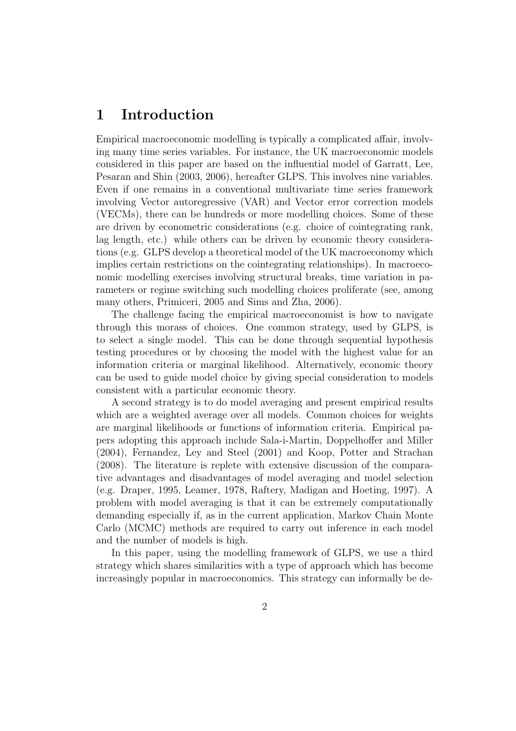## 1 Introduction

Empirical macroeconomic modelling is typically a complicated affair, involving many time series variables. For instance, the UK macroeconomic models considered in this paper are based on the influential model of Garratt, Lee, Pesaran and Shin (2003, 2006), hereafter GLPS. This involves nine variables. Even if one remains in a conventional multivariate time series framework involving Vector autoregressive (VAR) and Vector error correction models (VECMs), there can be hundreds or more modelling choices. Some of these are driven by econometric considerations (e.g. choice of cointegrating rank, lag length, etc.) while others can be driven by economic theory considerations (e.g. GLPS develop a theoretical model of the UK macroeconomy which implies certain restrictions on the cointegrating relationships). In macroeconomic modelling exercises involving structural breaks, time variation in parameters or regime switching such modelling choices proliferate (see, among many others, Primiceri, 2005 and Sims and Zha, 2006).

The challenge facing the empirical macroeconomist is how to navigate through this morass of choices. One common strategy, used by GLPS, is to select a single model. This can be done through sequential hypothesis testing procedures or by choosing the model with the highest value for an information criteria or marginal likelihood. Alternatively, economic theory can be used to guide model choice by giving special consideration to models consistent with a particular economic theory.

A second strategy is to do model averaging and present empirical results which are a weighted average over all models. Common choices for weights are marginal likelihoods or functions of information criteria. Empirical papers adopting this approach include Sala-i-Martin, Doppelhoffer and Miller (2004), Fernandez, Ley and Steel (2001) and Koop, Potter and Strachan (2008). The literature is replete with extensive discussion of the comparative advantages and disadvantages of model averaging and model selection (e.g. Draper, 1995, Leamer, 1978, Raftery, Madigan and Hoeting, 1997). A problem with model averaging is that it can be extremely computationally demanding especially if, as in the current application, Markov Chain Monte Carlo (MCMC) methods are required to carry out inference in each model and the number of models is high.

In this paper, using the modelling framework of GLPS, we use a third strategy which shares similarities with a type of approach which has become increasingly popular in macroeconomics. This strategy can informally be de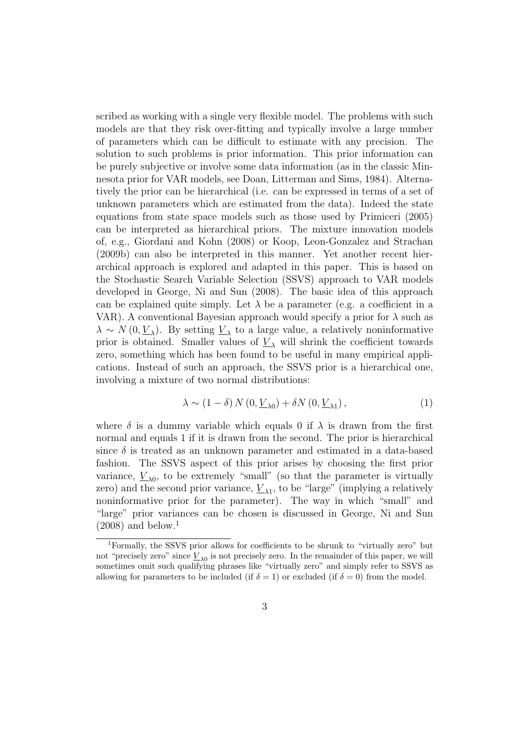scribed as working with a single very flexible model. The problems with such models are that they risk over-fitting and typically involve a large number of parameters which can be difficult to estimate with any precision. The solution to such problems is prior information. This prior information can be purely subjective or involve some data information (as in the classic Minnesota prior for VAR models, see Doan, Litterman and Sims, 1984). Alternatively the prior can be hierarchical (i.e. can be expressed in terms of a set of unknown parameters which are estimated from the data). Indeed the state equations from state space models such as those used by Primiceri (2005) can be interpreted as hierarchical priors. The mixture innovation models of, e.g., Giordani and Kohn (2008) or Koop, Leon-Gonzalez and Strachan (2009b) can also be interpreted in this manner. Yet another recent hierarchical approach is explored and adapted in this paper. This is based on the Stochastic Search Variable Selection (SSVS) approach to VAR models developed in George, Ni and Sun (2008). The basic idea of this approach can be explained quite simply. Let  $\lambda$  be a parameter (e.g. a coefficient in a VAR). A conventional Bayesian approach would specify a prior for  $\lambda$  such as  $\lambda \sim N(0, \underline{V}_{\lambda})$ . By setting  $\underline{V}_{\lambda}$  to a large value, a relatively noninformative prior is obtained. Smaller values of  $\underline{V}_{\lambda}$  will shrink the coefficient towards zero, something which has been found to be useful in many empirical applications. Instead of such an approach, the SSVS prior is a hierarchical one, involving a mixture of two normal distributions:

$$
\lambda \sim (1 - \delta) N (0, \underline{V}_{\lambda 0}) + \delta N (0, \underline{V}_{\lambda 1}), \qquad (1)
$$

where  $\delta$  is a dummy variable which equals 0 if  $\lambda$  is drawn from the first normal and equals 1 if it is drawn from the second. The prior is hierarchical since  $\delta$  is treated as an unknown parameter and estimated in a data-based fashion. The SSVS aspect of this prior arises by choosing the first prior variance,  $\underline{V}_{\lambda 0}$ , to be extremely "small" (so that the parameter is virtually zero) and the second prior variance,  $\underline{V}_{\lambda 1}$ , to be "large" (implying a relatively noninformative prior for the parameter). The way in which "small" and "large" prior variances can be chosen is discussed in George, Ni and Sun  $(2008)$  and below.<sup>1</sup>

<sup>1</sup>Formally, the SSVS prior allows for coefficients to be shrunk to "virtually zero" but not "precisely zero" since  $\underline{V}_{\lambda 0}$  is not precisely zero. In the remainder of this paper, we will sometimes omit such qualifying phrases like "virtually zero" and simply refer to SSVS as allowing for parameters to be included (if  $\delta = 1$ ) or excluded (if  $\delta = 0$ ) from the model.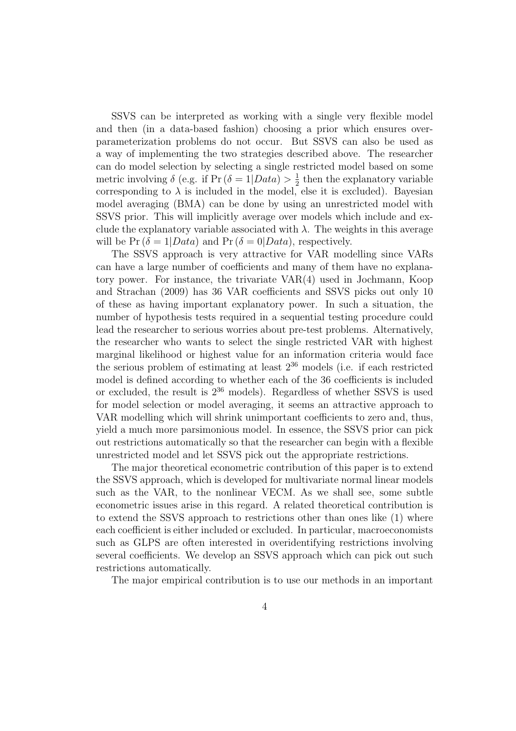SSVS can be interpreted as working with a single very flexible model and then (in a data-based fashion) choosing a prior which ensures overparameterization problems do not occur. But SSVS can also be used as a way of implementing the two strategies described above. The researcher can do model selection by selecting a single restricted model based on some metric involving  $\delta$  (e.g. if Pr ( $\delta = 1| Data \rangle > \frac{1}{2}$  $\frac{1}{2}$  then the explanatory variable corresponding to  $\lambda$  is included in the model, else it is excluded). Bayesian model averaging (BMA) can be done by using an unrestricted model with SSVS prior. This will implicitly average over models which include and exclude the explanatory variable associated with  $\lambda$ . The weights in this average will be  $Pr(\delta = 1| Data)$  and  $Pr(\delta = 0| Data)$ , respectively.

The SSVS approach is very attractive for VAR modelling since VARs can have a large number of coefficients and many of them have no explanatory power. For instance, the trivariate VAR(4) used in Jochmann, Koop and Strachan (2009) has 36 VAR coefficients and SSVS picks out only 10 of these as having important explanatory power. In such a situation, the number of hypothesis tests required in a sequential testing procedure could lead the researcher to serious worries about pre-test problems. Alternatively, the researcher who wants to select the single restricted VAR with highest marginal likelihood or highest value for an information criteria would face the serious problem of estimating at least  $2^{36}$  models (i.e. if each restricted model is defined according to whether each of the 36 coefficients is included or excluded, the result is  $2^{36}$  models). Regardless of whether SSVS is used for model selection or model averaging, it seems an attractive approach to VAR modelling which will shrink unimportant coefficients to zero and, thus, yield a much more parsimonious model. In essence, the SSVS prior can pick out restrictions automatically so that the researcher can begin with a flexible unrestricted model and let SSVS pick out the appropriate restrictions.

The major theoretical econometric contribution of this paper is to extend the SSVS approach, which is developed for multivariate normal linear models such as the VAR, to the nonlinear VECM. As we shall see, some subtle econometric issues arise in this regard. A related theoretical contribution is to extend the SSVS approach to restrictions other than ones like (1) where each coefficient is either included or excluded. In particular, macroeconomists such as GLPS are often interested in overidentifying restrictions involving several coefficients. We develop an SSVS approach which can pick out such restrictions automatically.

The major empirical contribution is to use our methods in an important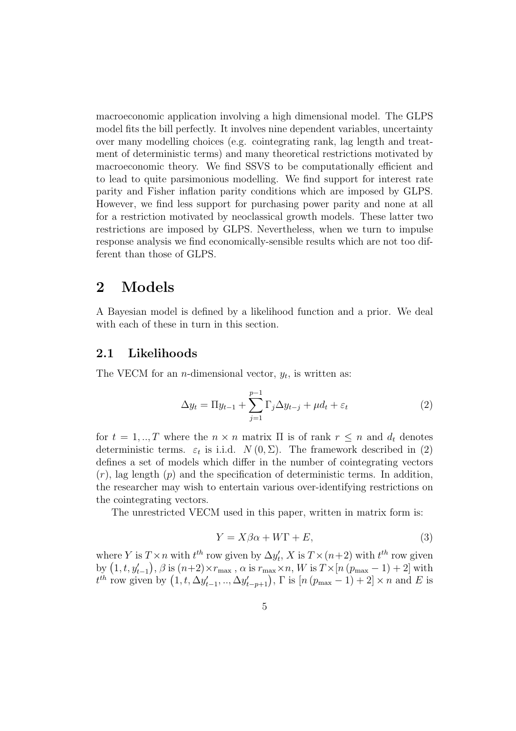macroeconomic application involving a high dimensional model. The GLPS model fits the bill perfectly. It involves nine dependent variables, uncertainty over many modelling choices (e.g. cointegrating rank, lag length and treatment of deterministic terms) and many theoretical restrictions motivated by macroeconomic theory. We find SSVS to be computationally efficient and to lead to quite parsimonious modelling. We find support for interest rate parity and Fisher inflation parity conditions which are imposed by GLPS. However, we find less support for purchasing power parity and none at all for a restriction motivated by neoclassical growth models. These latter two restrictions are imposed by GLPS. Nevertheless, when we turn to impulse response analysis we find economically-sensible results which are not too different than those of GLPS.

## 2 Models

A Bayesian model is defined by a likelihood function and a prior. We deal with each of these in turn in this section.

#### 2.1 Likelihoods

The VECM for an *n*-dimensional vector,  $y_t$ , is written as:

$$
\Delta y_t = \Pi y_{t-1} + \sum_{j=1}^{p-1} \Gamma_j \Delta y_{t-j} + \mu d_t + \varepsilon_t \tag{2}
$$

for  $t = 1, \dots, T$  where the  $n \times n$  matrix  $\Pi$  is of rank  $r \leq n$  and  $d_t$  denotes deterministic terms.  $\varepsilon_t$  is i.i.d.  $N(0, \Sigma)$ . The framework described in (2) defines a set of models which differ in the number of cointegrating vectors  $(r)$ , lag length  $(p)$  and the specification of deterministic terms. In addition, the researcher may wish to entertain various over-identifying restrictions on the cointegrating vectors.

The unrestricted VECM used in this paper, written in matrix form is:

$$
Y = X\beta\alpha + W\Gamma + E,\tag{3}
$$

where Y is  $T \times n$  with  $t^{th}$  row given by  $\Delta y_t'$  $t<sub>t</sub>$ , X is  $T \times (n+2)$  with  $t<sup>th</sup>$  row given by  $(1, t, y'_{t-1}), \beta$  is  $(n+2) \times r_{\text{max}}$ ,  $\alpha$  is  $r_{\text{max}} \times n$ ,  $W$  is  $T \times [n (p_{\text{max}} - 1) + 2]$  with  $t^{th}$  row given by  $(1, t, \Delta y'_{t-1}, ..., \Delta y'_{t-p+1})$ ,  $\Gamma$  is  $[n (p_{\max} - 1) + 2] \times n$  and  $E$  is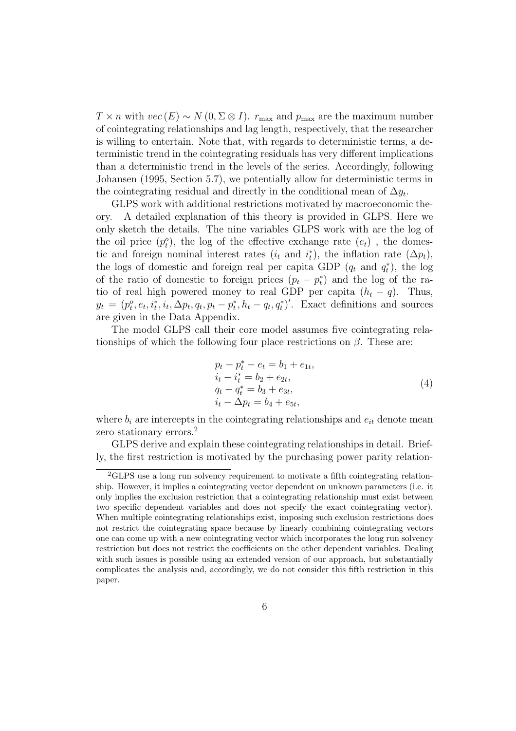$T \times n$  with  $vec(E) \sim N(0, \Sigma \otimes I)$ .  $r_{\text{max}}$  and  $p_{\text{max}}$  are the maximum number of cointegrating relationships and lag length, respectively, that the researcher is willing to entertain. Note that, with regards to deterministic terms, a deterministic trend in the cointegrating residuals has very different implications than a deterministic trend in the levels of the series. Accordingly, following Johansen (1995, Section 5.7), we potentially allow for deterministic terms in the cointegrating residual and directly in the conditional mean of  $\Delta y_t$ .

GLPS work with additional restrictions motivated by macroeconomic theory. A detailed explanation of this theory is provided in GLPS. Here we only sketch the details. The nine variables GLPS work with are the log of the oil price  $(p_t^o)$ , the log of the effective exchange rate  $(e_t)$ , the domestic and foreign nominal interest rates  $(i_t$  and  $i_t^*$ <sup>\*</sup>, the inflation rate  $(\Delta p_t)$ , the logs of domestic and foreign real per capita GDP  $(q_t$  and  $q_t^*$  $\binom{*}{t}$ , the log of the ratio of domestic to foreign prices  $(p_t - p_t^*$  $\binom{*}{t}$  and the log of the ratio of real high powered money to real GDP per capita  $(h_t - q)$ . Thus,  $y_t = (p_t^o, e_t, i_t^*, i_t, \Delta p_t, q_t, p_t - p_t^*)$  $\sum_{t}^{s} h_t - q_t, q_t^{*}$ . Exact definitions and sources are given in the Data Appendix.

The model GLPS call their core model assumes five cointegrating relationships of which the following four place restrictions on  $\beta$ . These are:

$$
p_t - p_t^* - e_t = b_1 + e_{1t}, \n i_t - i_t^* = b_2 + e_{2t}, \n q_t - q_t^* = b_3 + e_{3t}, \n i_t - \Delta p_t = b_4 + e_{5t},
$$
\n(4)

where  $b_i$  are intercepts in the cointegrating relationships and  $e_{it}$  denote mean zero stationary errors.<sup>2</sup>

GLPS derive and explain these cointegrating relationships in detail. Briefly, the first restriction is motivated by the purchasing power parity relation-

<sup>2</sup>GLPS use a long run solvency requirement to motivate a fifth cointegrating relationship. However, it implies a cointegrating vector dependent on unknown parameters (i.e. it only implies the exclusion restriction that a cointegrating relationship must exist between two specific dependent variables and does not specify the exact cointegrating vector). When multiple cointegrating relationships exist, imposing such exclusion restrictions does not restrict the cointegrating space because by linearly combining cointegrating vectors one can come up with a new cointegrating vector which incorporates the long run solvency restriction but does not restrict the coefficients on the other dependent variables. Dealing with such issues is possible using an extended version of our approach, but substantially complicates the analysis and, accordingly, we do not consider this fifth restriction in this paper.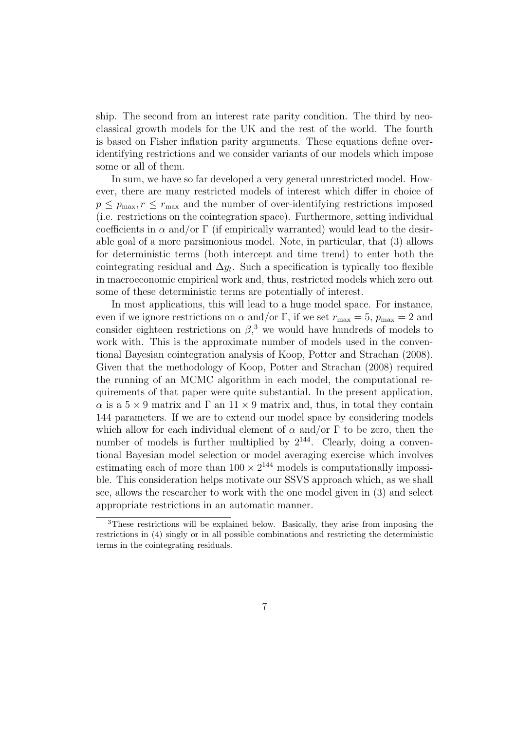ship. The second from an interest rate parity condition. The third by neoclassical growth models for the UK and the rest of the world. The fourth is based on Fisher inflation parity arguments. These equations define overidentifying restrictions and we consider variants of our models which impose some or all of them.

In sum, we have so far developed a very general unrestricted model. However, there are many restricted models of interest which differ in choice of  $p \leq p_{\text{max}}$ ,  $r \leq r_{\text{max}}$  and the number of over-identifying restrictions imposed (i.e. restrictions on the cointegration space). Furthermore, setting individual coefficients in  $\alpha$  and/or  $\Gamma$  (if empirically warranted) would lead to the desirable goal of a more parsimonious model. Note, in particular, that (3) allows for deterministic terms (both intercept and time trend) to enter both the cointegrating residual and  $\Delta y_t$ . Such a specification is typically too flexible in macroeconomic empirical work and, thus, restricted models which zero out some of these deterministic terms are potentially of interest.

In most applications, this will lead to a huge model space. For instance, even if we ignore restrictions on  $\alpha$  and/or  $\Gamma$ , if we set  $r_{\text{max}} = 5$ ,  $p_{\text{max}} = 2$  and consider eighteen restrictions on  $\beta$ <sup>3</sup>, we would have hundreds of models to work with. This is the approximate number of models used in the conventional Bayesian cointegration analysis of Koop, Potter and Strachan (2008). Given that the methodology of Koop, Potter and Strachan (2008) required the running of an MCMC algorithm in each model, the computational requirements of that paper were quite substantial. In the present application,  $\alpha$  is a  $5 \times 9$  matrix and  $\Gamma$  an  $11 \times 9$  matrix and, thus, in total they contain 144 parameters. If we are to extend our model space by considering models which allow for each individual element of  $\alpha$  and/or  $\Gamma$  to be zero, then the number of models is further multiplied by  $2^{144}$ . Clearly, doing a conventional Bayesian model selection or model averaging exercise which involves estimating each of more than  $100 \times 2^{144}$  models is computationally impossible. This consideration helps motivate our SSVS approach which, as we shall see, allows the researcher to work with the one model given in (3) and select appropriate restrictions in an automatic manner.

<sup>3</sup>These restrictions will be explained below. Basically, they arise from imposing the restrictions in (4) singly or in all possible combinations and restricting the deterministic terms in the cointegrating residuals.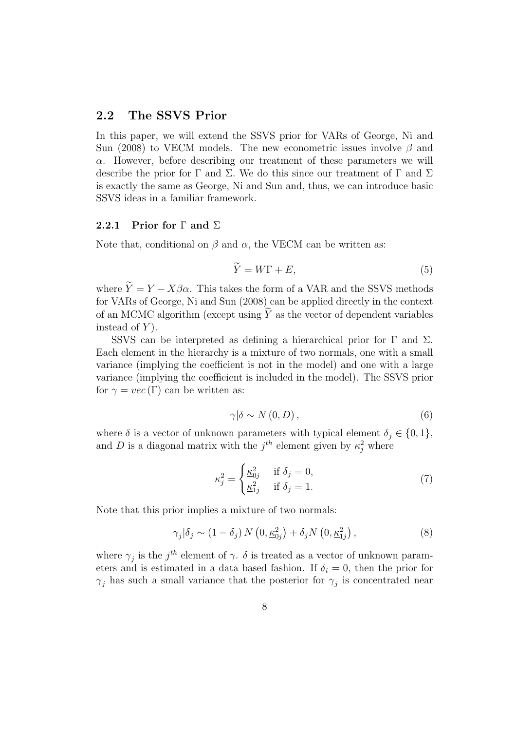#### 2.2 The SSVS Prior

In this paper, we will extend the SSVS prior for VARs of George, Ni and Sun (2008) to VECM models. The new econometric issues involve  $\beta$  and  $\alpha$ . However, before describing our treatment of these parameters we will describe the prior for  $\Gamma$  and  $\Sigma$ . We do this since our treatment of  $\Gamma$  and  $\Sigma$ is exactly the same as George, Ni and Sun and, thus, we can introduce basic SSVS ideas in a familiar framework.

#### 2.2.1 Prior for  $\Gamma$  and  $\Sigma$

Note that, conditional on  $\beta$  and  $\alpha$ , the VECM can be written as:

$$
\widetilde{Y} = W\Gamma + E,\tag{5}
$$

where  $\tilde{Y} = Y - X\beta\alpha$ . This takes the form of a VAR and the SSVS methods for VARs of George, Ni and Sun (2008) can be applied directly in the context of an MCMC algorithm (except using  $\widetilde{Y}$  as the vector of dependent variables instead of  $Y$ ).

SSVS can be interpreted as defining a hierarchical prior for  $\Gamma$  and  $\Sigma$ . Each element in the hierarchy is a mixture of two normals, one with a small variance (implying the coefficient is not in the model) and one with a large variance (implying the coefficient is included in the model). The SSVS prior for  $\gamma = vec(\Gamma)$  can be written as:

$$
\gamma|\delta \sim N(0, D),\tag{6}
$$

where  $\delta$  is a vector of unknown parameters with typical element  $\delta_j \in \{0,1\},$ and D is a diagonal matrix with the  $j<sup>th</sup>$  element given by  $\kappa_j^2$  where

$$
\kappa_j^2 = \begin{cases} \frac{\kappa_{0j}^2}{2} & \text{if } \delta_j = 0, \\ \frac{\kappa_{1j}^2}{2} & \text{if } \delta_j = 1. \end{cases}
$$
 (7)

Note that this prior implies a mixture of two normals:

$$
\gamma_j|\delta_j \sim (1-\delta_j) N(0, \underline{\kappa}_{0j}^2) + \delta_j N(0, \underline{\kappa}_{1j}^2), \qquad (8)
$$

where  $\gamma_j$  is the j<sup>th</sup> element of  $\gamma$ .  $\delta$  is treated as a vector of unknown parameters and is estimated in a data based fashion. If  $\delta_i = 0$ , then the prior for  $\gamma_j$  has such a small variance that the posterior for  $\gamma_j$  is concentrated near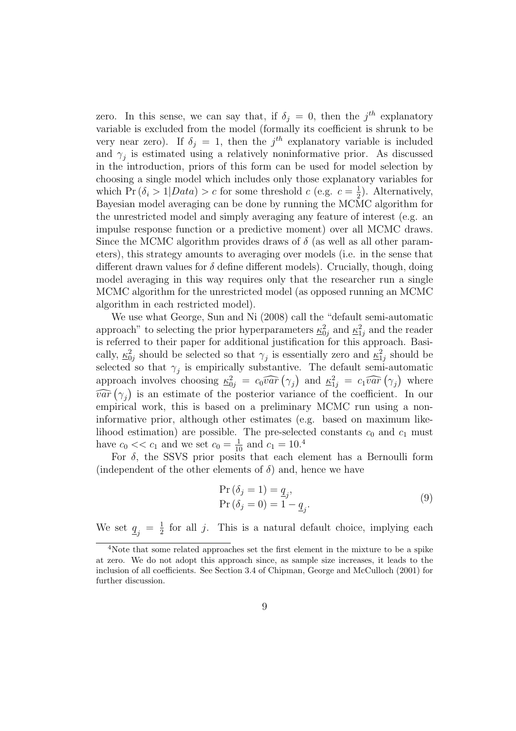zero. In this sense, we can say that, if  $\delta_j = 0$ , then the  $j^{th}$  explanatory variable is excluded from the model (formally its coefficient is shrunk to be very near zero). If  $\delta_j = 1$ , then the  $j<sup>th</sup>$  explanatory variable is included and  $\gamma_j$  is estimated using a relatively noninformative prior. As discussed in the introduction, priors of this form can be used for model selection by choosing a single model which includes only those explanatory variables for which Pr  $(\delta_i > 1 | Data) > c$  for some threshold  $c$  (e.g.  $c = \frac{1}{2}$ )  $\frac{1}{2}$ ). Alternatively, Bayesian model averaging can be done by running the MCMC algorithm for the unrestricted model and simply averaging any feature of interest (e.g. an impulse response function or a predictive moment) over all MCMC draws. Since the MCMC algorithm provides draws of  $\delta$  (as well as all other parameters), this strategy amounts to averaging over models (i.e. in the sense that different drawn values for  $\delta$  define different models). Crucially, though, doing model averaging in this way requires only that the researcher run a single MCMC algorithm for the unrestricted model (as opposed running an MCMC algorithm in each restricted model).

We use what George, Sun and Ni (2008) call the "default semi-automatic approach" to selecting the prior hyperparameters  $\kappa_{0j}^2$  and  $\kappa_{1j}^2$  and the reader is referred to their paper for additional justification for this approach. Basically,  $\underline{\kappa}_{0j}^2$  should be selected so that  $\gamma_j$  is essentially zero and  $\underline{\kappa}_{1j}^2$  should be selected so that  $\gamma_j$  is empirically substantive. The default semi-automatic approach involves choosing  $\underline{\kappa}_{0j}^2 = c_0\widehat{var}(\gamma_j)$  and  $\underline{\kappa}_{1j}^2 = c_1\widehat{var}(\gamma_j)$  where  $\widehat{var}(\gamma_j)$  is an estimate of the posterior variance of the coefficient. In our empirical work, this is based on a preliminary MCMC run using a noninformative prior, although other estimates (e.g. based on maximum likelihood estimation) are possible. The pre-selected constants  $c_0$  and  $c_1$  must have  $c_0 \ll c_1$  and we set  $c_0 = \frac{1}{10}$  and  $c_1 = 10^{4}$ 

For  $\delta$ , the SSVS prior posits that each element has a Bernoulli form (independent of the other elements of  $\delta$ ) and, hence we have

$$
\Pr\left(\delta_{j} = 1\right) = \underline{q}_{j},
$$
\n
$$
\Pr\left(\delta_{j} = 0\right) = 1 - \underline{q}_{j}.
$$
\n(9)

We set  $q_j = \frac{1}{2}$  $\frac{1}{2}$  for all j. This is a natural default choice, implying each

<sup>4</sup>Note that some related approaches set the first element in the mixture to be a spike at zero. We do not adopt this approach since, as sample size increases, it leads to the inclusion of all coefficients. See Section 3.4 of Chipman, George and McCulloch (2001) for further discussion.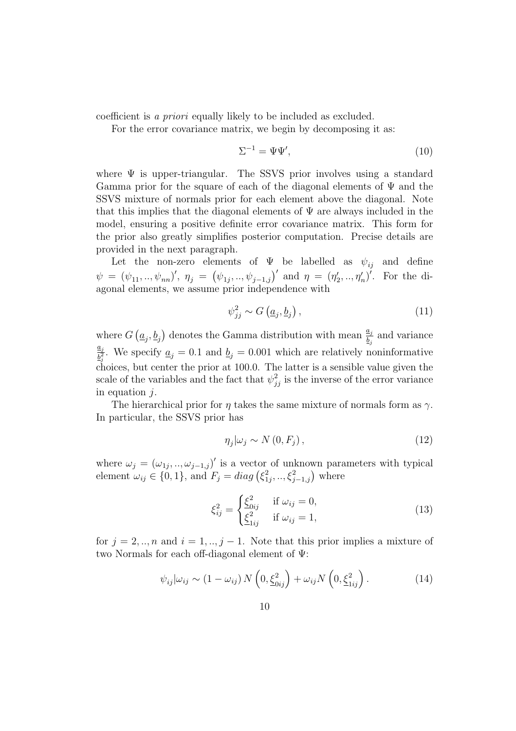coefficient is *a priori* equally likely to be included as excluded.

For the error covariance matrix, we begin by decomposing it as:

$$
\Sigma^{-1} = \Psi \Psi',\tag{10}
$$

where  $\Psi$  is upper-triangular. The SSVS prior involves using a standard Gamma prior for the square of each of the diagonal elements of  $\Psi$  and the SSVS mixture of normals prior for each element above the diagonal. Note that this implies that the diagonal elements of  $\Psi$  are always included in the model, ensuring a positive definite error covariance matrix. This form for the prior also greatly simplifies posterior computation. Precise details are provided in the next paragraph.

Let the non-zero elements of  $\Psi$  be labelled as  $\psi_{ij}$  and define  $\psi = (\psi_{11}, ..., \psi_{nn})', \eta_j = (\psi_{1j}, ..., \psi_{j-1,j})'$  and  $\eta = (\eta'_j)$  $\gamma'_2, \ldots, \eta'_n$ <sup>'</sup>. For the diagonal elements, we assume prior independence with

$$
\psi_{jj}^2 \sim G\left(\underline{a}_j, \underline{b}_j\right),\tag{11}
$$

where  $G(g_i, \underline{b}_j)$  denotes the Gamma distribution with mean  $\frac{a_j}{\underline{b}_j}$  and variance  $\underline{a}_j$  $\frac{a_j}{b_j^2}$ . We specify  $a_j = 0.1$  and  $b_j = 0.001$  which are relatively noninformative choices, but center the prior at 100.0. The latter is a sensible value given the scale of the variables and the fact that  $\psi_{jj}^2$  is the inverse of the error variance in equation  $j$ .

The hierarchical prior for  $\eta$  takes the same mixture of normals form as  $\gamma$ . In particular, the SSVS prior has

$$
\eta_j|\omega_j \sim N(0, F_j)\,,\tag{12}
$$

where  $\omega_j = (\omega_{1j}, ..., \omega_{j-1,j})'$  is a vector of unknown parameters with typical element  $\omega_{ij} \in \{0, 1\}$ , and  $F_j = diag\left(\xi_1^2\right)$  $\{e_{1j}^2, ..., \xi_{j-1,j}^2\}$  where

$$
\xi_{ij}^2 = \begin{cases} \underline{\xi}_{0ij}^2 & \text{if } \omega_{ij} = 0, \\ \underline{\xi}_{1ij}^2 & \text{if } \omega_{ij} = 1, \end{cases}
$$
 (13)

for  $j = 2, \ldots, n$  and  $i = 1, \ldots, j - 1$ . Note that this prior implies a mixture of two Normals for each off-diagonal element of Ψ:

$$
\psi_{ij}|\omega_{ij} \sim (1 - \omega_{ij}) N\left(0, \underline{\xi}_{0ij}^2\right) + \omega_{ij} N\left(0, \underline{\xi}_{1ij}^2\right). \tag{14}
$$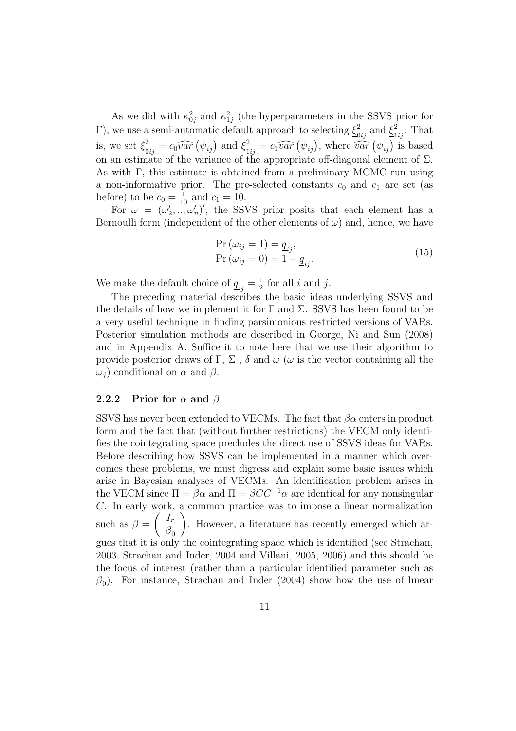As we did with  $\underline{\kappa}_{0j}^2$  and  $\underline{\kappa}_{1j}^2$  (the hyperparameters in the SSVS prior for Γ), we use a semi-automatic default approach to selecting  $\xi^2_{0ij}$  and  $\xi^2_{1ij}$ . That is, we set  $\xi_{0ij}^2 = c_0 \widehat{var} \left( \psi_{ij} \right)$  and  $\xi_{1ij}^2 = c_1 \widehat{var} \left( \psi_{ij} \right)$ , where  $\widehat{var} \left( \psi_{ij} \right)$  is based on an estimate of the variance of the appropriate off-diagonal element of  $\Sigma$ . As with Γ, this estimate is obtained from a preliminary MCMC run using a non-informative prior. The pre-selected constants  $c_0$  and  $c_1$  are set (as before) to be  $c_0 = \frac{1}{10}$  and  $c_1 = 10$ .

For  $\omega = (\omega'_2)$  $\sum_{i=1}^{10} \ldots \binom{n}{i}$ , the SSVS prior posits that each element has a Bernoulli form (independent of the other elements of  $\omega$ ) and, hence, we have

$$
\Pr(\omega_{ij} = 1) = \underline{q}_{ij},
$$
  
\n
$$
\Pr(\omega_{ij} = 0) = 1 - \underline{q}_{ij}.
$$
\n(15)

We make the default choice of  $\underline{q}_{ij} = \frac{1}{2}$  $\frac{1}{2}$  for all *i* and *j*.

The preceding material describes the basic ideas underlying SSVS and the details of how we implement it for  $\Gamma$  and  $\Sigma$ . SSVS has been found to be a very useful technique in finding parsimonious restricted versions of VARs. Posterior simulation methods are described in George, Ni and Sun (2008) and in Appendix A. Suffice it to note here that we use their algorithm to provide posterior draws of Γ, Σ, δ and  $\omega$  ( $\omega$  is the vector containing all the  $ω<sub>j</sub>$ ) conditional on  $α$  and  $β$ .

#### 2.2.2 Prior for  $\alpha$  and  $\beta$

SSVS has never been extended to VECMs. The fact that  $\beta \alpha$  enters in product form and the fact that (without further restrictions) the VECM only identifies the cointegrating space precludes the direct use of SSVS ideas for VARs. Before describing how SSVS can be implemented in a manner which overcomes these problems, we must digress and explain some basic issues which arise in Bayesian analyses of VECMs. An identification problem arises in the VECM since  $\Pi = \beta \alpha$  and  $\Pi = \beta CC^{-1} \alpha$  are identical for any nonsingular C. In early work, a common practice was to impose a linear normalization such as  $\beta =$  $\int$   $I_r$  $\beta_0$  $\overline{ }$ . However, a literature has recently emerged which argues that it is only the cointegrating space which is identified (see Strachan, 2003, Strachan and Inder, 2004 and Villani, 2005, 2006) and this should be the focus of interest (rather than a particular identified parameter such as  $\beta_0$ ). For instance, Strachan and Inder (2004) show how the use of linear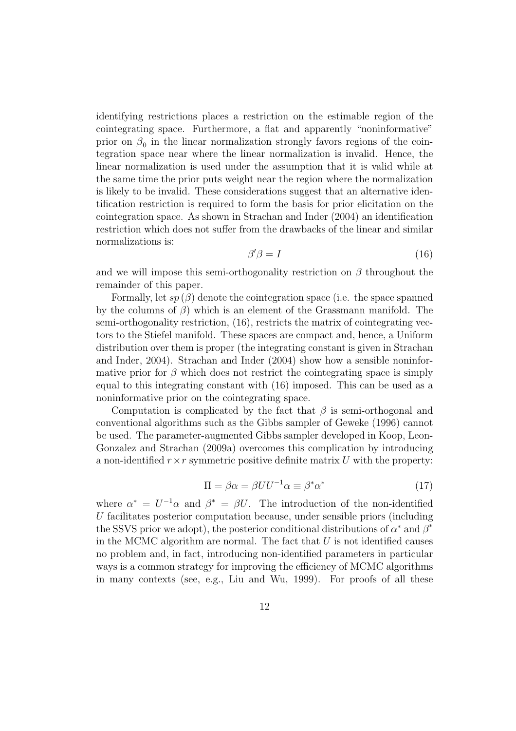identifying restrictions places a restriction on the estimable region of the cointegrating space. Furthermore, a flat and apparently "noninformative" prior on  $\beta_0$  in the linear normalization strongly favors regions of the cointegration space near where the linear normalization is invalid. Hence, the linear normalization is used under the assumption that it is valid while at the same time the prior puts weight near the region where the normalization is likely to be invalid. These considerations suggest that an alternative identification restriction is required to form the basis for prior elicitation on the cointegration space. As shown in Strachan and Inder (2004) an identification restriction which does not suffer from the drawbacks of the linear and similar normalizations is:

$$
\beta' \beta = I \tag{16}
$$

and we will impose this semi-orthogonality restriction on  $\beta$  throughout the remainder of this paper.

Formally, let  $sp(\beta)$  denote the cointegration space (i.e. the space spanned by the columns of  $\beta$ ) which is an element of the Grassmann manifold. The semi-orthogonality restriction, (16), restricts the matrix of cointegrating vectors to the Stiefel manifold. These spaces are compact and, hence, a Uniform distribution over them is proper (the integrating constant is given in Strachan and Inder, 2004). Strachan and Inder (2004) show how a sensible noninformative prior for  $\beta$  which does not restrict the cointegrating space is simply equal to this integrating constant with (16) imposed. This can be used as a noninformative prior on the cointegrating space.

Computation is complicated by the fact that  $\beta$  is semi-orthogonal and conventional algorithms such as the Gibbs sampler of Geweke (1996) cannot be used. The parameter-augmented Gibbs sampler developed in Koop, Leon-Gonzalez and Strachan (2009a) overcomes this complication by introducing a non-identified  $r \times r$  symmetric positive definite matrix U with the property:

$$
\Pi = \beta \alpha = \beta U U^{-1} \alpha \equiv \beta^* \alpha^* \tag{17}
$$

where  $\alpha^* = U^{-1}\alpha$  and  $\beta^* = \beta U$ . The introduction of the non-identified U facilitates posterior computation because, under sensible priors (including the SSVS prior we adopt), the posterior conditional distributions of  $\alpha^*$  and  $\beta^*$ in the MCMC algorithm are normal. The fact that  $U$  is not identified causes no problem and, in fact, introducing non-identified parameters in particular ways is a common strategy for improving the efficiency of MCMC algorithms in many contexts (see, e.g., Liu and Wu, 1999). For proofs of all these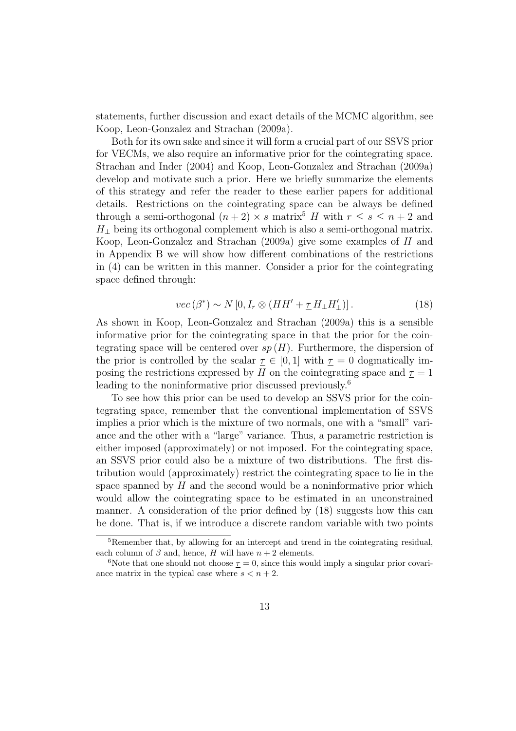statements, further discussion and exact details of the MCMC algorithm, see Koop, Leon-Gonzalez and Strachan (2009a).

Both for its own sake and since it will form a crucial part of our SSVS prior for VECMs, we also require an informative prior for the cointegrating space. Strachan and Inder (2004) and Koop, Leon-Gonzalez and Strachan (2009a) develop and motivate such a prior. Here we briefly summarize the elements of this strategy and refer the reader to these earlier papers for additional details. Restrictions on the cointegrating space can be always be defined through a semi-orthogonal  $(n+2) \times s$  matrix<sup>5</sup> H with  $r \leq s \leq n+2$  and  $H_{\perp}$  being its orthogonal complement which is also a semi-orthogonal matrix. Koop, Leon-Gonzalez and Strachan (2009a) give some examples of H and in Appendix B we will show how different combinations of the restrictions in (4) can be written in this manner. Consider a prior for the cointegrating space defined through:

$$
vec(\beta^*) \sim N[0, I_r \otimes (HH' + \underline{\tau} H_{\perp} H'_{\perp})]. \tag{18}
$$

As shown in Koop, Leon-Gonzalez and Strachan (2009a) this is a sensible informative prior for the cointegrating space in that the prior for the cointegrating space will be centered over  $sp(H)$ . Furthermore, the dispersion of the prior is controlled by the scalar  $\underline{\tau} \in [0,1]$  with  $\underline{\tau} = 0$  dogmatically imposing the restrictions expressed by H on the cointegrating space and  $\tau = 1$ leading to the noninformative prior discussed previously.<sup>6</sup>

To see how this prior can be used to develop an SSVS prior for the cointegrating space, remember that the conventional implementation of SSVS implies a prior which is the mixture of two normals, one with a "small" variance and the other with a "large" variance. Thus, a parametric restriction is either imposed (approximately) or not imposed. For the cointegrating space, an SSVS prior could also be a mixture of two distributions. The first distribution would (approximately) restrict the cointegrating space to lie in the space spanned by  $H$  and the second would be a noninformative prior which would allow the cointegrating space to be estimated in an unconstrained manner. A consideration of the prior defined by (18) suggests how this can be done. That is, if we introduce a discrete random variable with two points

<sup>&</sup>lt;sup>5</sup>Remember that, by allowing for an intercept and trend in the cointegrating residual, each column of  $\beta$  and, hence, H will have  $n + 2$  elements.

<sup>&</sup>lt;sup>6</sup>Note that one should not choose  $\underline{\tau} = 0$ , since this would imply a singular prior covariance matrix in the typical case where  $s < n + 2$ .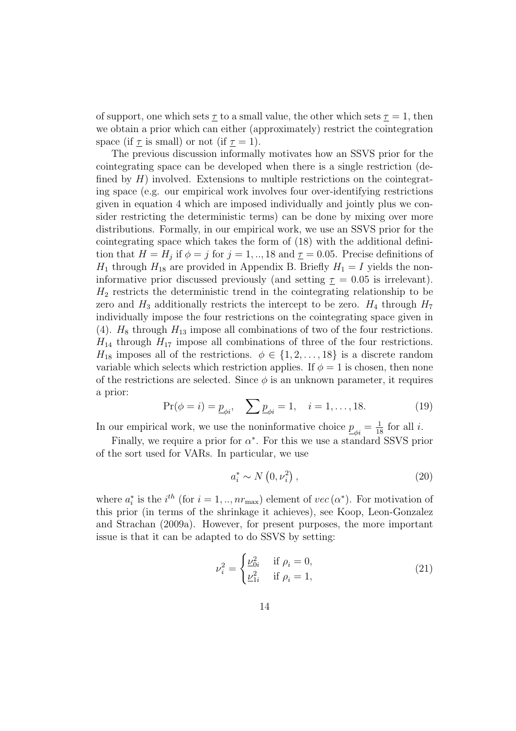of support, one which sets  $\underline{\tau}$  to a small value, the other which sets  $\underline{\tau} = 1$ , then we obtain a prior which can either (approximately) restrict the cointegration space (if  $\tau$  is small) or not (if  $\tau = 1$ ).

The previous discussion informally motivates how an SSVS prior for the cointegrating space can be developed when there is a single restriction (defined by  $H$ ) involved. Extensions to multiple restrictions on the cointegrating space (e.g. our empirical work involves four over-identifying restrictions given in equation 4 which are imposed individually and jointly plus we consider restricting the deterministic terms) can be done by mixing over more distributions. Formally, in our empirical work, we use an SSVS prior for the cointegrating space which takes the form of (18) with the additional definition that  $H = H_j$  if  $\phi = j$  for  $j = 1, \dots, 18$  and  $\underline{\tau} = 0.05$ . Precise definitions of  $H_1$  through  $H_{18}$  are provided in Appendix B. Briefly  $H_1 = I$  yields the noninformative prior discussed previously (and setting  $\tau = 0.05$  is irrelevant).  $H_2$  restricts the deterministic trend in the cointegrating relationship to be zero and  $H_3$  additionally restricts the intercept to be zero.  $H_4$  through  $H_7$ individually impose the four restrictions on the cointegrating space given in (4).  $H_8$  through  $H_{13}$  impose all combinations of two of the four restrictions.  $H_{14}$  through  $H_{17}$  impose all combinations of three of the four restrictions.  $H_{18}$  imposes all of the restrictions.  $\phi \in \{1, 2, ..., 18\}$  is a discrete random variable which selects which restriction applies. If  $\phi = 1$  is chosen, then none of the restrictions are selected. Since  $\phi$  is an unknown parameter, it requires a prior:

$$
Pr(\phi = i) = \underline{p}_{\phi i}, \quad \sum \underline{p}_{\phi i} = 1, \quad i = 1, ..., 18.
$$
 (19)

In our empirical work, we use the noninformative choice  $\underline{p}_{\phi i} = \frac{1}{18}$  for all *i*.

Finally, we require a prior for  $\alpha^*$ . For this we use a standard SSVS prior of the sort used for VARs. In particular, we use

$$
a_i^* \sim N\left(0, \nu_i^2\right),\tag{20}
$$

where  $a_i^*$ <sup>\*</sup>/<sub>i</sub> is the *i*<sup>th</sup> (for  $i = 1, ..., nr_{\text{max}}$ ) element of  $vec(\alpha^*)$ . For motivation of this prior (in terms of the shrinkage it achieves), see Koop, Leon-Gonzalez and Strachan (2009a). However, for present purposes, the more important issue is that it can be adapted to do SSVS by setting:

$$
\nu_i^2 = \begin{cases} \underline{\nu}_{0i}^2 & \text{if } \rho_i = 0, \\ \underline{\nu}_{1i}^2 & \text{if } \rho_i = 1, \end{cases}
$$
 (21)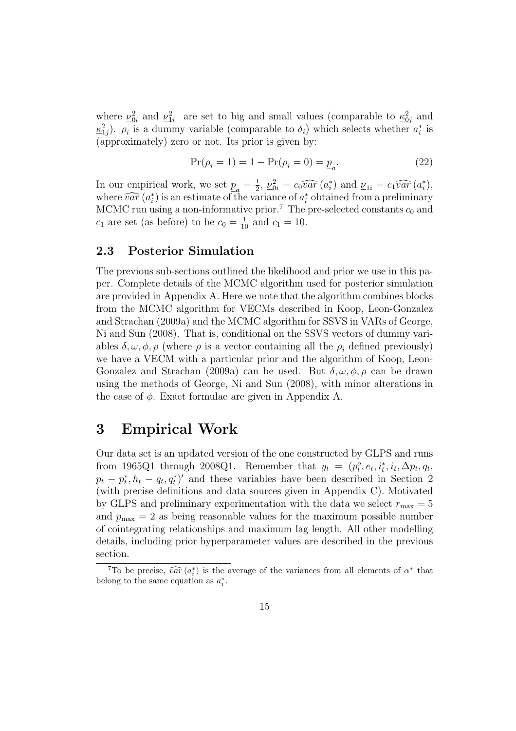where  $\nu_{0i}^2$  and  $\nu_{1i}^2$  are set to big and small values (comparable to  $\underline{\kappa}_{0j}^2$  and  $\underline{\kappa}_{1j}^2$ ).  $\rho_i$  is a dummy variable (comparable to  $\delta_i$ ) which selects whether  $a_i^*$  $i^*$  is (approximately) zero or not. Its prior is given by:

$$
Pr(\rho_i = 1) = 1 - Pr(\rho_i = 0) = \underline{p}_a.
$$
\n(22)

In our empirical work, we set  $p_{\overline{a}} = \frac{1}{2}$  $\frac{1}{2}, \underline{\nu}_{0i}^2 = c_0 \widehat{var} (a_i^*)$ <sup>\*</sup>) and  $\underline{\nu}_{1i} = c_1 \widehat{var} (a_i^*)$  $_i^*),$ where  $\widehat{var}(a_i^*)$ <sup>\*</sup>) is an estimate of the variance of  $a_i^*$  $i$  obtained from a preliminary MCMC run using a non-informative prior.<sup>7</sup> The pre-selected constants  $c_0$  and  $c_1$  are set (as before) to be  $c_0 = \frac{1}{10}$  and  $c_1 = 10$ .

#### 2.3 Posterior Simulation

The previous sub-sections outlined the likelihood and prior we use in this paper. Complete details of the MCMC algorithm used for posterior simulation are provided in Appendix A. Here we note that the algorithm combines blocks from the MCMC algorithm for VECMs described in Koop, Leon-Gonzalez and Strachan (2009a) and the MCMC algorithm for SSVS in VARs of George, Ni and Sun (2008). That is, conditional on the SSVS vectors of dummy variables  $\delta, \omega, \phi, \rho$  (where  $\rho$  is a vector containing all the  $\rho_i$  defined previously) we have a VECM with a particular prior and the algorithm of Koop, Leon-Gonzalez and Strachan (2009a) can be used. But  $\delta, \omega, \phi, \rho$  can be drawn using the methods of George, Ni and Sun (2008), with minor alterations in the case of  $\phi$ . Exact formulae are given in Appendix A.

## 3 Empirical Work

Our data set is an updated version of the one constructed by GLPS and runs from 1965Q1 through 2008Q1. Remember that  $y_t = (p_t^o, e_t, i_t^*, i_t, \Delta p_t, q_t,$  $p_t - p_t^*$  $(t, h_t - q_t, q_t^*)'$  and these variables have been described in Section 2 (with precise definitions and data sources given in Appendix C). Motivated by GLPS and preliminary experimentation with the data we select  $r_{\text{max}} = 5$ and  $p_{\text{max}} = 2$  as being reasonable values for the maximum possible number of cointegrating relationships and maximum lag length. All other modelling details, including prior hyperparameter values are described in the previous section.

<sup>&</sup>lt;sup>7</sup>To be precise,  $\widehat{var}(a_i^*)$  is the average of the variances from all elements of  $\alpha^*$  that belong to the same equation as  $a_i^*$ .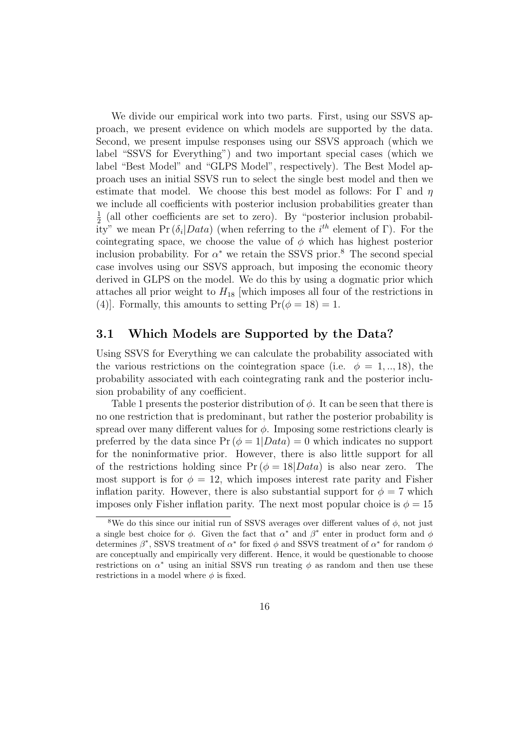We divide our empirical work into two parts. First, using our SSVS approach, we present evidence on which models are supported by the data. Second, we present impulse responses using our SSVS approach (which we label "SSVS for Everything") and two important special cases (which we label "Best Model" and "GLPS Model", respectively). The Best Model approach uses an initial SSVS run to select the single best model and then we estimate that model. We choose this best model as follows: For  $\Gamma$  and  $\eta$ we include all coefficients with posterior inclusion probabilities greater than 1  $\frac{1}{2}$  (all other coefficients are set to zero). By "posterior inclusion probability" we mean Pr  $(\delta_i| Data)$  (when referring to the  $i^{th}$  element of  $\Gamma$ ). For the cointegrating space, we choose the value of  $\phi$  which has highest posterior inclusion probability. For  $\alpha^*$  we retain the SSVS prior.<sup>8</sup> The second special case involves using our SSVS approach, but imposing the economic theory derived in GLPS on the model. We do this by using a dogmatic prior which attaches all prior weight to  $H_{18}$  which imposes all four of the restrictions in (4)]. Formally, this amounts to setting  $Pr(\phi = 18) = 1$ .

#### 3.1 Which Models are Supported by the Data?

Using SSVS for Everything we can calculate the probability associated with the various restrictions on the cointegration space (i.e.  $\phi = 1,..,18$ ), the probability associated with each cointegrating rank and the posterior inclusion probability of any coefficient.

Table 1 presents the posterior distribution of  $\phi$ . It can be seen that there is no one restriction that is predominant, but rather the posterior probability is spread over many different values for  $\phi$ . Imposing some restrictions clearly is preferred by the data since  $Pr(\phi = 1| Data) = 0$  which indicates no support for the noninformative prior. However, there is also little support for all of the restrictions holding since  $Pr(\phi = 18|Data)$  is also near zero. The most support is for  $\phi = 12$ , which imposes interest rate parity and Fisher inflation parity. However, there is also substantial support for  $\phi = 7$  which imposes only Fisher inflation parity. The next most popular choice is  $\phi = 15$ 

<sup>&</sup>lt;sup>8</sup>We do this since our initial run of SSVS averages over different values of  $\phi$ , not just a single best choice for  $\phi$ . Given the fact that  $\alpha^*$  and  $\beta^*$  enter in product form and  $\phi$ determines  $\beta^*$ , SSVS treatment of  $\alpha^*$  for fixed  $\phi$  and SSVS treatment of  $\alpha^*$  for random  $\phi$ are conceptually and empirically very different. Hence, it would be questionable to choose restrictions on  $\alpha^*$  using an initial SSVS run treating  $\phi$  as random and then use these restrictions in a model where  $\phi$  is fixed.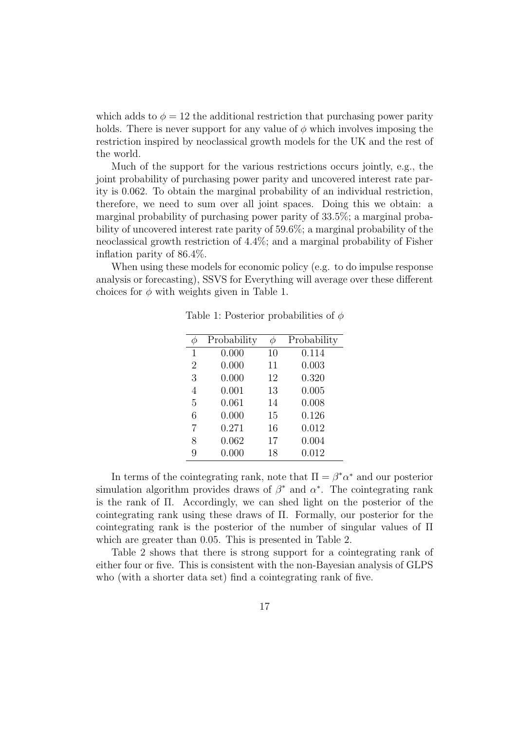which adds to  $\phi = 12$  the additional restriction that purchasing power parity holds. There is never support for any value of  $\phi$  which involves imposing the restriction inspired by neoclassical growth models for the UK and the rest of the world.

Much of the support for the various restrictions occurs jointly, e.g., the joint probability of purchasing power parity and uncovered interest rate parity is 0.062. To obtain the marginal probability of an individual restriction, therefore, we need to sum over all joint spaces. Doing this we obtain: a marginal probability of purchasing power parity of 33.5%; a marginal probability of uncovered interest rate parity of 59.6%; a marginal probability of the neoclassical growth restriction of 4.4%; and a marginal probability of Fisher inflation parity of 86.4%.

When using these models for economic policy (e.g. to do impulse response analysis or forecasting), SSVS for Everything will average over these different choices for  $\phi$  with weights given in Table 1.

|                | Probability | $\varphi$ | Probability |
|----------------|-------------|-----------|-------------|
| 1              | 0.000       | 10        | 0.114       |
| $\overline{2}$ | 0.000       | 11        | 0.003       |
| 3              | 0.000       | 12        | 0.320       |
| 4              | 0.001       | 13        | 0.005       |
| 5              | 0.061       | 14        | 0.008       |
| 6              | 0.000       | 15        | 0.126       |
| 7              | 0.271       | 16        | 0.012       |
| 8              | 0.062       | 17        | 0.004       |
| 9              | 0.000       | 18        | 0.012       |

Table 1: Posterior probabilities of  $\phi$ 

In terms of the cointegrating rank, note that  $\Pi = \beta^* \alpha^*$  and our posterior simulation algorithm provides draws of  $\beta^*$  and  $\alpha^*$ . The cointegrating rank is the rank of Π. Accordingly, we can shed light on the posterior of the cointegrating rank using these draws of Π. Formally, our posterior for the cointegrating rank is the posterior of the number of singular values of Π which are greater than 0.05. This is presented in Table 2.

Table 2 shows that there is strong support for a cointegrating rank of either four or five. This is consistent with the non-Bayesian analysis of GLPS who (with a shorter data set) find a cointegrating rank of five.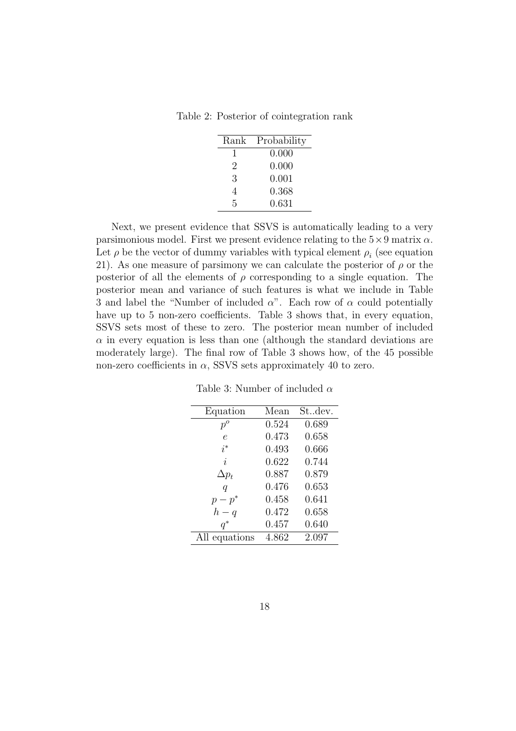Table 2: Posterior of cointegration rank

| Rank           | Probability |
|----------------|-------------|
| I.             | 0.000       |
| $\overline{2}$ | 0.000       |
| 3              | 0.001       |
| 4              | 0.368       |
| 5              | 0.631       |

Next, we present evidence that SSVS is automatically leading to a very parsimonious model. First we present evidence relating to the  $5\times 9$  matrix  $\alpha$ . Let  $\rho$  be the vector of dummy variables with typical element  $\rho_i$  (see equation 21). As one measure of parsimony we can calculate the posterior of  $\rho$  or the posterior of all the elements of  $\rho$  corresponding to a single equation. The posterior mean and variance of such features is what we include in Table 3 and label the "Number of included  $\alpha$ ". Each row of  $\alpha$  could potentially have up to 5 non-zero coefficients. Table 3 shows that, in every equation, SSVS sets most of these to zero. The posterior mean number of included  $\alpha$  in every equation is less than one (although the standard deviations are moderately large). The final row of Table 3 shows how, of the 45 possible non-zero coefficients in  $\alpha$ , SSVS sets approximately 40 to zero.

| Equation         | Mean  | Stdev. |
|------------------|-------|--------|
| $p^o$            | 0.524 | 0.689  |
| $\epsilon$       | 0.473 | 0.658  |
| $i^*$            | 0.493 | 0.666  |
| $\dot{i}$        | 0.622 | 0.744  |
| $\Delta p_t$     | 0.887 | 0.879  |
| $\boldsymbol{q}$ | 0.476 | 0.653  |
| $p-p^*$          | 0.458 | 0.641  |
| $h - q$          | 0.472 | 0.658  |
| $q^*$            | 0.457 | 0.640  |
| All equations    | 4.862 | 2.097  |

Table 3: Number of included  $\alpha$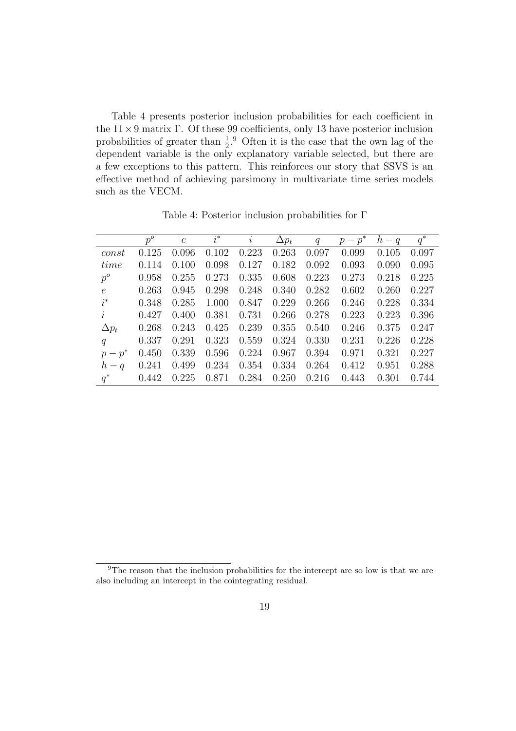Table 4 presents posterior inclusion probabilities for each coefficient in the  $11 \times 9$  matrix Γ. Of these 99 coefficients, only 13 have posterior inclusion probabilities of greater than  $\frac{1}{2}$ .<sup>9</sup> Often it is the case that the own lag of the dependent variable is the only explanatory variable selected, but there are a few exceptions to this pattern. This reinforces our story that SSVS is an effective method of achieving parsimony in multivariate time series models such as the VECM.

|              | $p^o$ | $\epsilon$ | $i^*$ | $\dot{i}$ | $\Delta p_t$ | q     | $p-p^*$ | $h-q$ | $q^*$ |
|--------------|-------|------------|-------|-----------|--------------|-------|---------|-------|-------|
| const        | 0.125 | 0.096      | 0.102 | 0.223     | 0.263        | 0.097 | 0.099   | 0.105 | 0.097 |
| time         | 0.114 | 0.100      | 0.098 | 0.127     | 0.182        | 0.092 | 0.093   | 0.090 | 0.095 |
| $p^o$        | 0.958 | 0.255      | 0.273 | 0.335     | 0.608        | 0.223 | 0.273   | 0.218 | 0.225 |
| $\epsilon$   | 0.263 | 0.945      | 0.298 | 0.248     | 0.340        | 0.282 | 0.602   | 0.260 | 0.227 |
| $i^*$        | 0.348 | 0.285      | 1.000 | 0.847     | 0.229        | 0.266 | 0.246   | 0.228 | 0.334 |
| $\dot{i}$    | 0.427 | 0.400      | 0.381 | 0.731     | 0.266        | 0.278 | 0.223   | 0.223 | 0.396 |
| $\Delta p_t$ | 0.268 | 0.243      | 0.425 | 0.239     | 0.355        | 0.540 | 0.246   | 0.375 | 0.247 |
| q            | 0.337 | 0.291      | 0.323 | 0.559     | 0.324        | 0.330 | 0.231   | 0.226 | 0.228 |
| $p-p^*$      | 0.450 | 0.339      | 0.596 | 0.224     | 0.967        | 0.394 | 0.971   | 0.321 | 0.227 |
| $h-q$        | 0.241 | 0.499      | 0.234 | 0.354     | 0.334        | 0.264 | 0.412   | 0.951 | 0.288 |
| $q^*$        | 0.442 | 0.225      | 0.871 | 0.284     | 0.250        | 0.216 | 0.443   | 0.301 | 0.744 |

Table 4: Posterior inclusion probabilities for Γ

<sup>&</sup>lt;sup>9</sup>The reason that the inclusion probabilities for the intercept are so low is that we are also including an intercept in the cointegrating residual.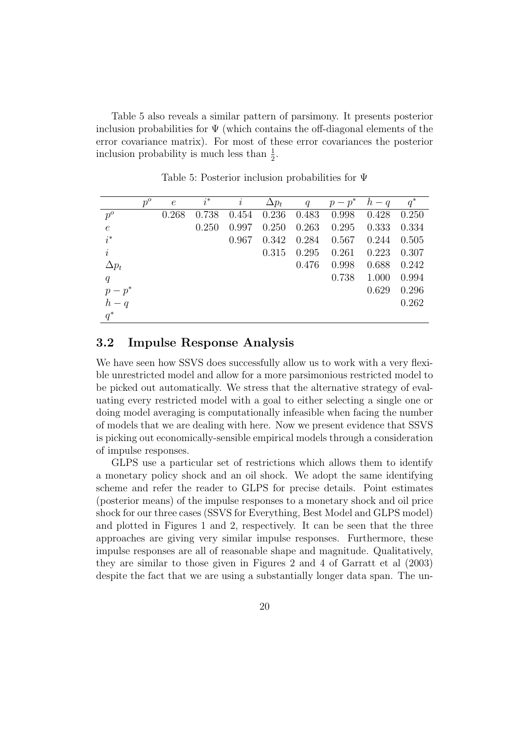Table 5 also reveals a similar pattern of parsimony. It presents posterior inclusion probabilities for  $\Psi$  (which contains the off-diagonal elements of the error covariance matrix). For most of these error covariances the posterior inclusion probability is much less than  $\frac{1}{2}$ .

|                  | $p^o$ | $\epsilon$ | $i^*$ | i     | $\Delta p_t$ | q     | $p-p^*$ | $h-q$ | $q^*$ |
|------------------|-------|------------|-------|-------|--------------|-------|---------|-------|-------|
| $p^o$            |       | 0.268      | 0.738 | 0.454 | 0.236        | 0.483 | 0.998   | 0.428 | 0.250 |
| $\boldsymbol{e}$ |       |            | 0.250 | 0.997 | 0.250        | 0.263 | 0.295   | 0.333 | 0.334 |
| $i^*$            |       |            |       | 0.967 | 0.342        | 0.284 | 0.567   | 0.244 | 0.505 |
| $\dot{i}$        |       |            |       |       | 0.315        | 0.295 | 0.261   | 0.223 | 0.307 |
| $\Delta p_t$     |       |            |       |       |              | 0.476 | 0.998   | 0.688 | 0.242 |
| q                |       |            |       |       |              |       | 0.738   | 1.000 | 0.994 |
| $p-p^*$          |       |            |       |       |              |       |         | 0.629 | 0.296 |
| $h-q$            |       |            |       |       |              |       |         |       | 0.262 |
| $q^*$            |       |            |       |       |              |       |         |       |       |

Table 5: Posterior inclusion probabilities for Ψ

#### 3.2 Impulse Response Analysis

We have seen how SSVS does successfully allow us to work with a very flexible unrestricted model and allow for a more parsimonious restricted model to be picked out automatically. We stress that the alternative strategy of evaluating every restricted model with a goal to either selecting a single one or doing model averaging is computationally infeasible when facing the number of models that we are dealing with here. Now we present evidence that SSVS is picking out economically-sensible empirical models through a consideration of impulse responses.

GLPS use a particular set of restrictions which allows them to identify a monetary policy shock and an oil shock. We adopt the same identifying scheme and refer the reader to GLPS for precise details. Point estimates (posterior means) of the impulse responses to a monetary shock and oil price shock for our three cases (SSVS for Everything, Best Model and GLPS model) and plotted in Figures 1 and 2, respectively. It can be seen that the three approaches are giving very similar impulse responses. Furthermore, these impulse responses are all of reasonable shape and magnitude. Qualitatively, they are similar to those given in Figures 2 and 4 of Garratt et al (2003) despite the fact that we are using a substantially longer data span. The un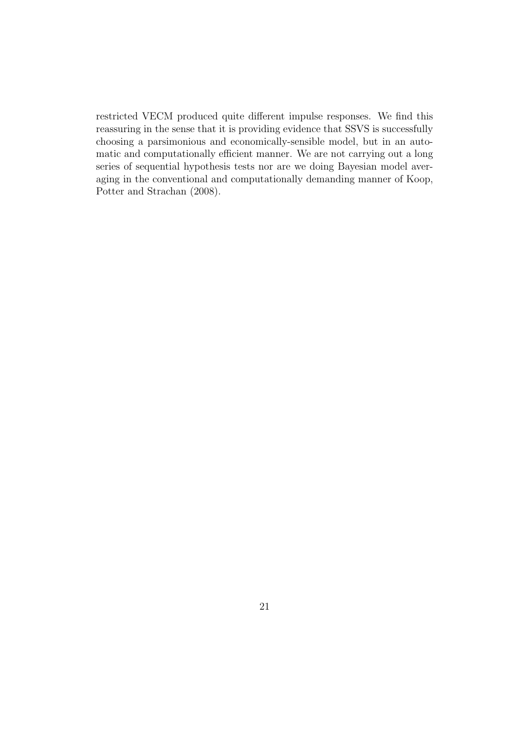restricted VECM produced quite different impulse responses. We find this reassuring in the sense that it is providing evidence that SSVS is successfully choosing a parsimonious and economically-sensible model, but in an automatic and computationally efficient manner. We are not carrying out a long series of sequential hypothesis tests nor are we doing Bayesian model averaging in the conventional and computationally demanding manner of Koop, Potter and Strachan (2008).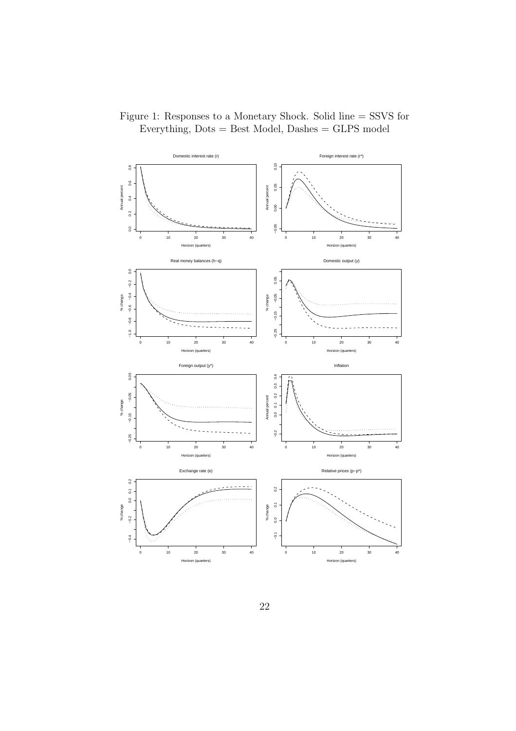

Figure 1: Responses to a Monetary Shock. Solid line = SSVS for Everything,  $Dots = Best Model$ ,  $Dashes = GLPS model$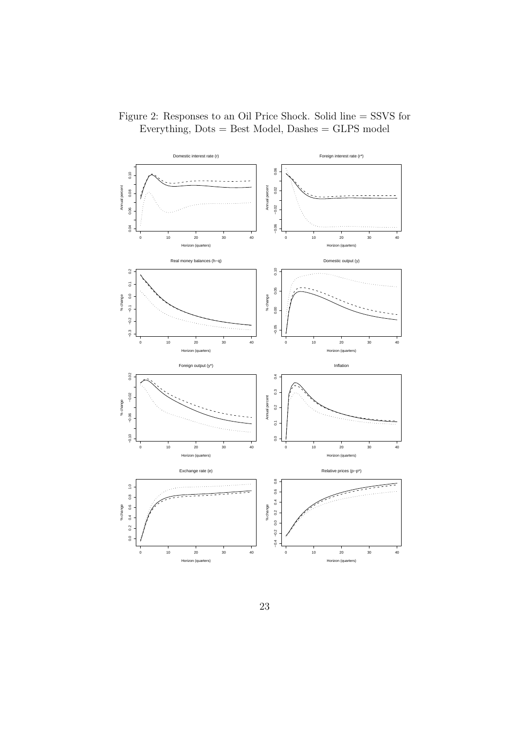

Figure 2: Responses to an Oil Price Shock. Solid line = SSVS for Everything,  $Dots = Best Model$ ,  $Dashes = GLPS model$ 

23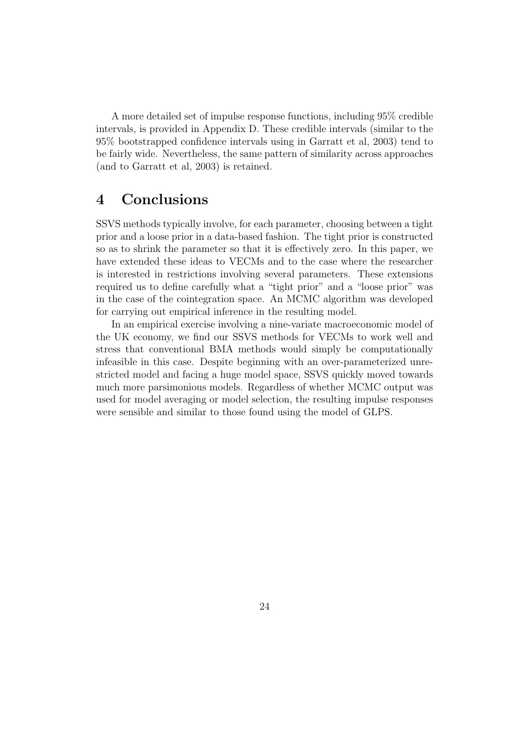A more detailed set of impulse response functions, including 95% credible intervals, is provided in Appendix D. These credible intervals (similar to the 95% bootstrapped confidence intervals using in Garratt et al, 2003) tend to be fairly wide. Nevertheless, the same pattern of similarity across approaches (and to Garratt et al, 2003) is retained.

## 4 Conclusions

SSVS methods typically involve, for each parameter, choosing between a tight prior and a loose prior in a data-based fashion. The tight prior is constructed so as to shrink the parameter so that it is effectively zero. In this paper, we have extended these ideas to VECMs and to the case where the researcher is interested in restrictions involving several parameters. These extensions required us to define carefully what a "tight prior" and a "loose prior" was in the case of the cointegration space. An MCMC algorithm was developed for carrying out empirical inference in the resulting model.

In an empirical exercise involving a nine-variate macroeconomic model of the UK economy, we find our SSVS methods for VECMs to work well and stress that conventional BMA methods would simply be computationally infeasible in this case. Despite beginning with an over-parameterized unrestricted model and facing a huge model space, SSVS quickly moved towards much more parsimonious models. Regardless of whether MCMC output was used for model averaging or model selection, the resulting impulse responses were sensible and similar to those found using the model of GLPS.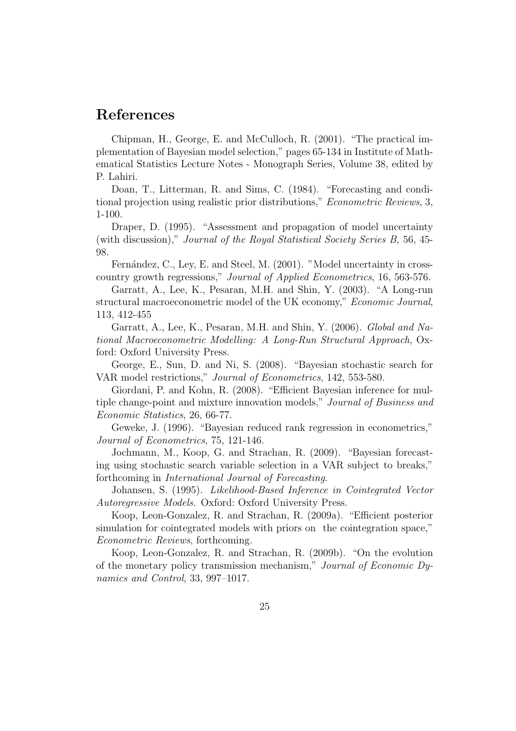### References

Chipman, H., George, E. and McCulloch, R. (2001). "The practical implementation of Bayesian model selection," pages 65-134 in Institute of Mathematical Statistics Lecture Notes - Monograph Series, Volume 38, edited by P. Lahiri.

Doan, T., Litterman, R. and Sims, C. (1984). "Forecasting and conditional projection using realistic prior distributions," *Econometric Reviews*, 3, 1-100.

Draper, D. (1995). "Assessment and propagation of model uncertainty (with discussion)," *Journal of the Royal Statistical Society Series B,* 56, 45- 98.

Fernández, C., Ley, E. and Steel, M. (2001). "Model uncertainty in crosscountry growth regressions," *Journal of Applied Econometrics*, 16, 563-576.

Garratt, A., Lee, K., Pesaran, M.H. and Shin, Y. (2003). "A Long-run structural macroeconometric model of the UK economy," *Economic Journal*, 113, 412-455

Garratt, A., Lee, K., Pesaran, M.H. and Shin, Y. (2006). *Global and National Macroeconometric Modelling: A Long-Run Structural Approach*, Oxford: Oxford University Press.

George, E., Sun, D. and Ni, S. (2008). "Bayesian stochastic search for VAR model restrictions," *Journal of Econometrics*, 142, 553-580.

Giordani, P. and Kohn, R. (2008). "Efficient Bayesian inference for multiple change-point and mixture innovation models," *Journal of Business and Economic Statistics*, 26, 66-77.

Geweke, J. (1996). "Bayesian reduced rank regression in econometrics," *Journal of Econometrics*, 75, 121-146.

Jochmann, M., Koop, G. and Strachan, R. (2009). "Bayesian forecasting using stochastic search variable selection in a VAR subject to breaks," forthcoming in *International Journal of Forecasting*.

Johansen, S. (1995). *Likelihood-Based Inference in Cointegrated Vector Autoregressive Models.* Oxford: Oxford University Press.

Koop, Leon-Gonzalez, R. and Strachan, R. (2009a). "Efficient posterior simulation for cointegrated models with priors on the cointegration space," *Econometric Reviews*, forthcoming.

Koop, Leon-Gonzalez, R. and Strachan, R. (2009b). "On the evolution of the monetary policy transmission mechanism," *Journal of Economic Dynamics and Control*, 33, 997–1017.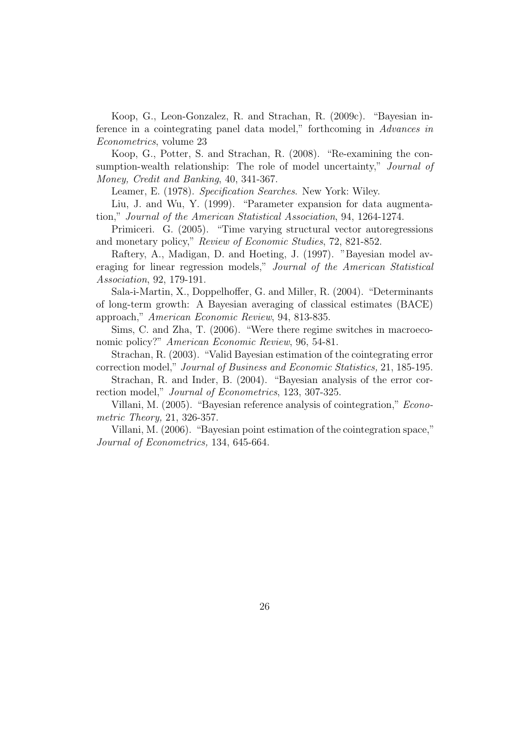Koop, G., Leon-Gonzalez, R. and Strachan, R. (2009c). "Bayesian inference in a cointegrating panel data model," forthcoming in *Advances in Econometrics*, volume 23

Koop, G., Potter, S. and Strachan, R. (2008). "Re-examining the consumption-wealth relationship: The role of model uncertainty," *Journal of Money, Credit and Banking*, 40, 341-367.

Leamer, E. (1978). *Specification Searches*. New York: Wiley.

Liu, J. and Wu, Y. (1999). "Parameter expansion for data augmentation," *Journal of the American Statistical Association*, 94, 1264-1274.

Primiceri. G. (2005). "Time varying structural vector autoregressions and monetary policy," *Review of Economic Studies*, 72, 821-852.

Raftery, A., Madigan, D. and Hoeting, J. (1997). "Bayesian model averaging for linear regression models," *Journal of the American Statistical Association*, 92, 179-191.

Sala-i-Martin, X., Doppelhoffer, G. and Miller, R. (2004). "Determinants of long-term growth: A Bayesian averaging of classical estimates (BACE) approach," *American Economic Review*, 94, 813-835.

Sims, C. and Zha, T. (2006). "Were there regime switches in macroeconomic policy?" *American Economic Review*, 96, 54-81.

Strachan, R. (2003). "Valid Bayesian estimation of the cointegrating error correction model," *Journal of Business and Economic Statistics,* 21, 185-195.

Strachan, R. and Inder, B. (2004). "Bayesian analysis of the error correction model," *Journal of Econometrics*, 123, 307-325.

Villani, M. (2005). "Bayesian reference analysis of cointegration," *Econometric Theory,* 21, 326-357.

Villani, M. (2006). "Bayesian point estimation of the cointegration space," *Journal of Econometrics,* 134, 645-664.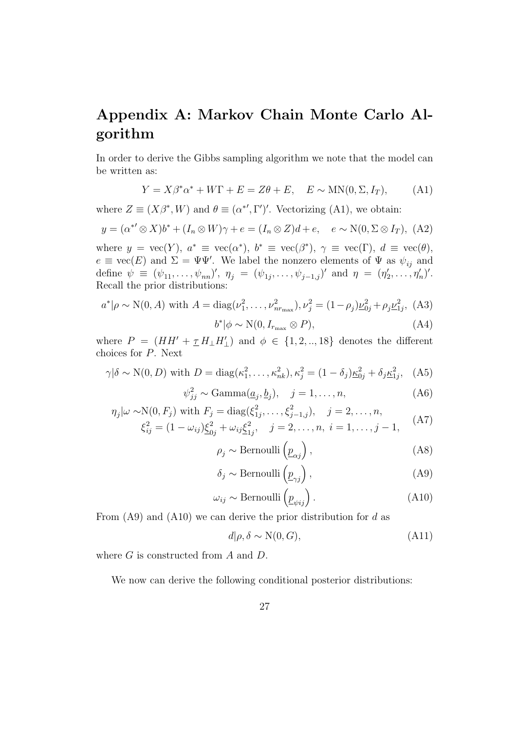# Appendix A: Markov Chain Monte Carlo Algorithm

In order to derive the Gibbs sampling algorithm we note that the model can be written as:

$$
Y = X\beta^*\alpha^* + W\Gamma + E = Z\theta + E, \quad E \sim \text{MN}(0, \Sigma, I_T), \tag{A1}
$$

where  $Z \equiv (X\beta^*, W)$  and  $\theta \equiv (\alpha^{*'} , \Gamma')'$ . Vectorizing (A1), we obtain:

$$
y = (\alpha^{*'} \otimes X)b^* + (I_n \otimes W)\gamma + e = (I_n \otimes Z)d + e, \quad e \sim \mathcal{N}(0, \Sigma \otimes I_T), \text{ (A2)}
$$

where  $y = \text{vec}(Y)$ ,  $a^* \equiv \text{vec}(\alpha^*)$ ,  $b^* \equiv \text{vec}(\beta^*)$ ,  $\gamma \equiv \text{vec}(\Gamma)$ ,  $d \equiv \text{vec}(\theta)$ ,  $e \equiv \text{vec}(E)$  and  $\Sigma = \Psi \Psi'$ . We label the nonzero elements of  $\Psi$  as  $\psi_{ij}$  and define  $\psi \equiv (\psi_{11}, \ldots, \psi_{nn})'$ ,  $\eta_j = (\psi_{1j}, \ldots, \psi_{j-1,j})'$  and  $\eta = (\eta'_j)$  $\eta'_2,\ldots,\eta'_n)'$ . Recall the prior distributions:

$$
a^*|\rho \sim N(0, A) \text{ with } A = \text{diag}(\nu_1^2, \dots, \nu_{nr_{\text{max}}}^2), \nu_j^2 = (1 - \rho_j)\underline{\nu}_{0j}^2 + \rho_j \underline{\nu}_{1j}^2, \text{ (A3)}
$$

$$
b^*|\phi \sim N(0, I_{r_{\text{max}}} \otimes P), \tag{A4}
$$

where  $P = (HH' + \underline{\tau} H_{\perp} H'_{\perp})$  and  $\phi \in \{1, 2, ..., 18\}$  denotes the different choices for P. Next

$$
\gamma|\delta \sim N(0, D)
$$
 with  $D = diag(\kappa_1^2, ..., \kappa_{nk}^2), \kappa_j^2 = (1 - \delta_j) \underline{\kappa}_{0j}^2 + \delta_j \underline{\kappa}_{1j}^2,$  (A5)

$$
\psi_{jj}^2 \sim \text{Gamma}(\underline{a}_j, \underline{b}_j), \quad j = 1, \dots, n,\tag{A6}
$$

$$
\eta_j|\omega \sim N(0, F_j) \text{ with } F_j = \text{diag}(\xi_{1j}^2, \dots, \xi_{j-1,j}^2), \quad j = 2, \dots, n,
$$
  

$$
\xi_{ij}^2 = (1 - \omega_{ij})\underline{\xi_{0j}^2} + \omega_{ij}\underline{\xi_{1j}^2}, \quad j = 2, \dots, n, \quad i = 1, \dots, j-1,
$$
 (A7)

$$
\rho_j \sim \text{Bernoulli}\left(\underline{p}_{\alpha j}\right),\tag{A8}
$$

$$
\delta_j \sim \text{Bernoulli}\left(\underline{p}_{\gamma j}\right),\tag{A9}
$$

$$
\omega_{ij} \sim \text{Bernoulli}\left(\underline{p}_{\psi ij}\right). \tag{A10}
$$

From  $(A9)$  and  $(A10)$  we can derive the prior distribution for d as

$$
d|\rho, \delta \sim \mathcal{N}(0, G),\tag{A11}
$$

where  $G$  is constructed from  $A$  and  $D$ .

We now can derive the following conditional posterior distributions: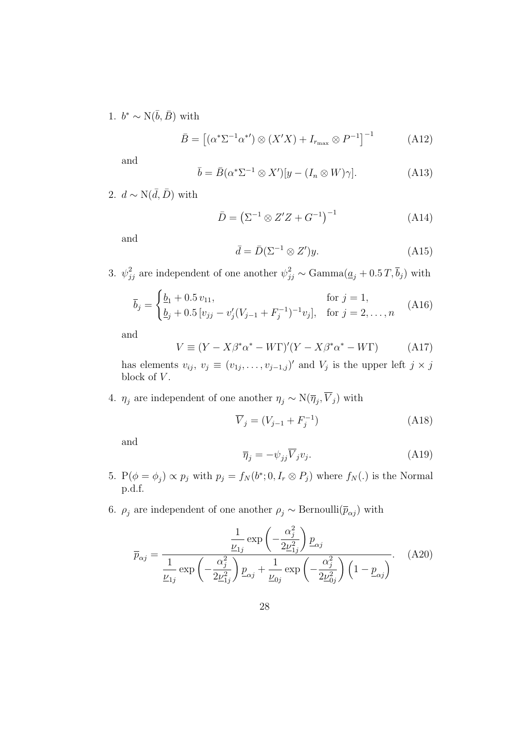1.  $b^* \sim \text{N}(\bar{b}, \bar{B})$  with

$$
\bar{B} = \left[ \left( \alpha^* \Sigma^{-1} \alpha^{*'} \right) \otimes \left( X' X \right) + I_{r_{\text{max}}} \otimes P^{-1} \right]^{-1} \tag{A12}
$$

and

$$
\bar{b} = \bar{B}(\alpha^* \Sigma^{-1} \otimes X')[y - (I_n \otimes W)\gamma]. \tag{A13}
$$

2.  $d \sim N(\bar{d}, \bar{D})$  with

$$
\bar{D} = \left(\Sigma^{-1} \otimes Z'Z + G^{-1}\right)^{-1}
$$
 (A14)

and

$$
\bar{d} = \bar{D}(\Sigma^{-1} \otimes Z')y. \tag{A15}
$$

3.  $\psi_{jj}^2$  are independent of one another  $\psi_{jj}^2 \sim \text{Gamma}(\underline{a}_j + 0.5T, \overline{b}_j)$  with

$$
\overline{b}_j = \begin{cases} \underline{b}_1 + 0.5 v_{11}, & \text{for } j = 1, \\ \underline{b}_j + 0.5 [v_{jj} - v'_j (V_{j-1} + F_j^{-1})^{-1} v_j], & \text{for } j = 2, ..., n \end{cases}
$$
(A16)

and

$$
V \equiv (Y - X\beta^*\alpha^* - W\Gamma)'(Y - X\beta^*\alpha^* - W\Gamma) \tag{A17}
$$

has elements  $v_{ij}, v_j \equiv (v_{1j}, \ldots, v_{j-1,j})'$  and  $V_j$  is the upper left  $j \times j$ block of  $V$ .

4.  $\eta_j$  are independent of one another  $\eta_j \sim \mathcal{N}(\overline{\eta}_j, V_j)$  with

$$
\overline{V}_j = (V_{j-1} + F_j^{-1})
$$
\n(A18)

and

$$
\overline{\eta}_j = -\psi_{jj}\overline{V}_j v_j. \tag{A19}
$$

- 5.  $P(\phi = \phi_j) \propto p_j$  with  $p_j = f_N(b^*; 0, I_r \otimes P_j)$  where  $f_N(.)$  is the Normal p.d.f.
- 6.  $\rho_j$  are independent of one another  $\rho_j \sim \text{Bernoulli}(\bar{p}_{\alpha j})$  with

$$
\overline{p}_{\alpha j} = \frac{\frac{1}{\underline{v}_{1j}} \exp\left(-\frac{\alpha_j^2}{2\underline{v}_{1j}^2}\right) \underline{p}_{\alpha j}}{\frac{1}{\underline{v}_{1j}} \exp\left(-\frac{\alpha_j^2}{2\underline{v}_{1j}^2}\right) \underline{p}_{\alpha j} + \frac{1}{\underline{v}_{0j}} \exp\left(-\frac{\alpha_j^2}{2\underline{v}_{0j}^2}\right) \left(1 - \underline{p}_{\alpha j}\right)}.
$$
 (A20)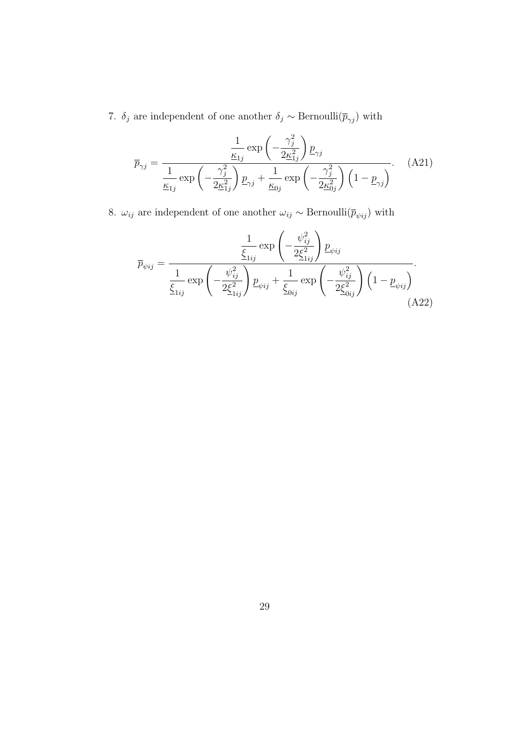7.  $\delta_j$  are independent of one another  $\delta_j$  ∼ Bernoulli $(\overline{p}_{\gamma j})$  with

$$
\overline{p}_{\gamma j} = \frac{\frac{1}{\underline{\kappa}_{1j}} \exp\left(-\frac{\gamma_j^2}{2\underline{\kappa}_{1j}^2}\right) \underline{p}_{\gamma j}}{\frac{1}{\underline{\kappa}_{1j}} \exp\left(-\frac{\gamma_j^2}{2\underline{\kappa}_{1j}^2}\right) \underline{p}_{\gamma j} + \frac{1}{\underline{\kappa}_{0j}} \exp\left(-\frac{\gamma_j^2}{2\underline{\kappa}_{0j}^2}\right) \left(1 - \underline{p}_{\gamma j}\right)}.
$$
 (A21)

8.  $\omega_{ij}$  are independent of one another  $\omega_{ij} \sim \text{Bernoulli}(\overline{p}_{\psi ij})$  with

$$
\bar{p}_{\psi ij} = \frac{\frac{1}{\xi_{1ij}} \exp\left(-\frac{\psi_{ij}^2}{2\xi_{1ij}^2}\right) p_{\psi ij}}{\frac{1}{\xi_{1ij}} \exp\left(-\frac{\psi_{ij}^2}{2\xi_{1ij}^2}\right) p_{\psi ij} + \frac{1}{\xi_{0ij}} \exp\left(-\frac{\psi_{ij}^2}{2\xi_{0ij}^2}\right) \left(1 - p_{\psi ij}\right)}.
$$
\n(A22)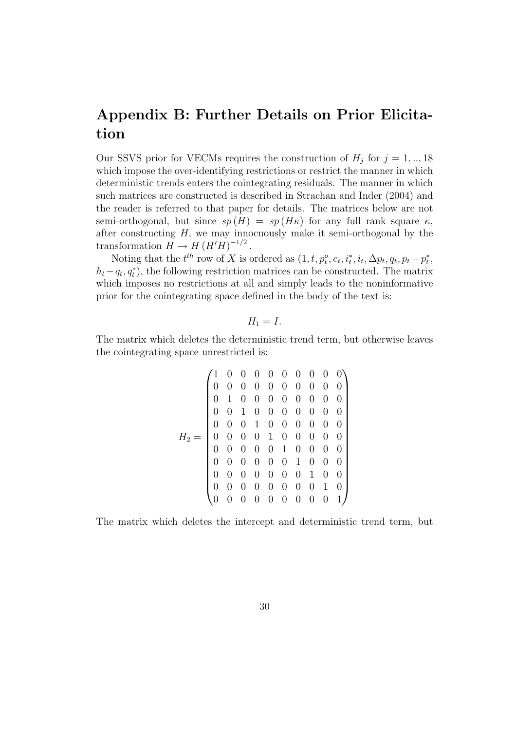# Appendix B: Further Details on Prior Elicitation

Our SSVS prior for VECMs requires the construction of  $H_j$  for  $j = 1, ..., 18$ which impose the over-identifying restrictions or restrict the manner in which deterministic trends enters the cointegrating residuals. The manner in which such matrices are constructed is described in Strachan and Inder (2004) and the reader is referred to that paper for details. The matrices below are not semi-orthogonal, but since  $sp(H) = sp(H\kappa)$  for any full rank square  $\kappa$ , after constructing  $H$ , we may innocuously make it semi-orthogonal by the transformation  $H \to H (H'H)^{-1/2}$ .

Noting that the  $t^{th}$  row of X is ordered as  $(1, t, p_t^o, e_t, i_t^*, i_t, \Delta p_t, q_t, p_t - p_t^*$  $_t^*$  $h_t - q_t, q_t^*$ , the following restriction matrices can be constructed. The matrix which imposes no restrictions at all and simply leads to the noninformative prior for the cointegrating space defined in the body of the text is:

$$
H_1=I.
$$

The matrix which deletes the deterministic trend term, but otherwise leaves the cointegrating space unrestricted is:

$$
H_2=\left(\begin{array}{cccccccc} 1&0&0&0&0&0&0&0&0&0 \\ 0&0&0&0&0&0&0&0&0&0 \\ 0&1&0&0&0&0&0&0&0&0 \\ 0&0&1&0&0&0&0&0&0&0 \\ 0&0&0&1&0&0&0&0&0&0 \\ 0&0&0&0&1&0&0&0&0&0 \\ 0&0&0&0&0&1&0&0&0&0 \\ 0&0&0&0&0&0&1&0&0&0 \\ 0&0&0&0&0&0&0&1&0&0 \\ 0&0&0&0&0&0&0&0&1&0 \\ 0&0&0&0&0&0&0&0&0&1\end{array}\right)
$$

The matrix which deletes the intercept and deterministic trend term, but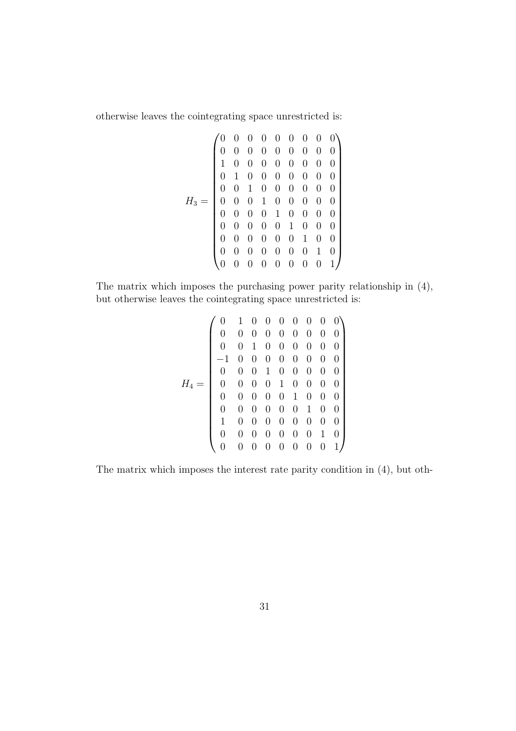otherwise leaves the cointegrating space unrestricted is:

H<sup>3</sup> = 0 0 0 0 0 0 0 0 0 0 0 0 0 0 0 0 0 0 1 0 0 0 0 0 0 0 0 0 1 0 0 0 0 0 0 0 0 0 1 0 0 0 0 0 0 0 0 0 1 0 0 0 0 0 0 0 0 0 1 0 0 0 0 0 0 0 0 0 1 0 0 0 0 0 0 0 0 0 1 0 0 0 0 0 0 0 0 0 1 0 0 0 0 0 0 0 0 0 1 

The matrix which imposes the purchasing power parity relationship in (4), but otherwise leaves the cointegrating space unrestricted is:

$$
H_4=\left(\begin{array}{cccccccc} 0&1&0&0&0&0&0&0&0 \\ 0&0&0&0&0&0&0&0&0 \\ 0&0&1&0&0&0&0&0&0 \\ -1&0&0&0&0&0&0&0&0 \\ 0&0&0&1&0&0&0&0&0 \\ 0&0&0&0&1&0&0&0&0 \\ 0&0&0&0&0&1&0&0&0 \\ 0&0&0&0&0&0&1&0&0 \\ 1&0&0&0&0&0&0&0&1&0 \\ 0&0&0&0&0&0&0&0&1&0 \\ 0&0&0&0&0&0&0&0&0&1 \end{array} \right)
$$

The matrix which imposes the interest rate parity condition in (4), but oth-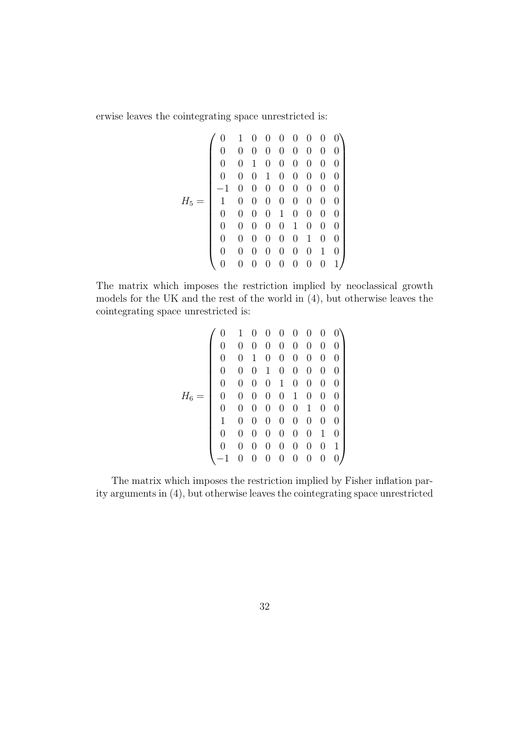erwise leaves the cointegrating space unrestricted is:

H<sup>5</sup> = 0 1 0 0 0 0 0 0 0 0 0 0 0 0 0 0 0 0 0 0 1 0 0 0 0 0 0 0 0 0 1 0 0 0 0 0 −1 0 0 0 0 0 0 0 0 1 0 0 0 0 0 0 0 0 0 0 0 0 1 0 0 0 0 0 0 0 0 0 1 0 0 0 0 0 0 0 0 0 1 0 0 0 0 0 0 0 0 0 1 0 0 0 0 0 0 0 0 0 1 

The matrix which imposes the restriction implied by neoclassical growth models for the UK and the rest of the world in (4), but otherwise leaves the cointegrating space unrestricted is:

$$
H_6=\left(\begin{array}{cccccccc} 0&1&0&0&0&0&0&0&0 \\ 0&0&0&0&0&0&0&0&0 \\ 0&0&1&0&0&0&0&0&0 \\ 0&0&1&0&0&0&0&0&0 \\ 0&0&0&1&0&0&0&0&0 \\ 0&0&0&0&1&0&0&0&0 \\ 0&0&0&0&0&0&1&0&0 \\ 1&0&0&0&0&0&0&0&0 \\ 0&0&0&0&0&0&0&0&1 \\ -1&0&0&0&0&0&0&0&0\end{array}\right)
$$

The matrix which imposes the restriction implied by Fisher inflation parity arguments in (4), but otherwise leaves the cointegrating space unrestricted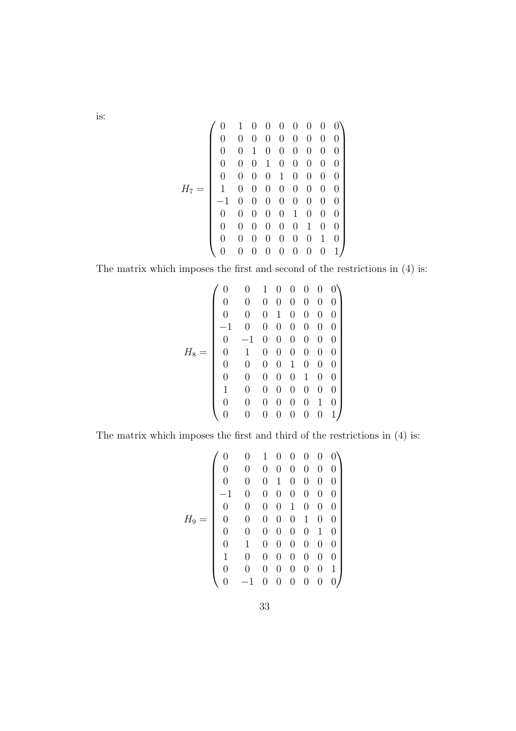is:

H<sup>7</sup> = 0 1 0 0 0 0 0 0 0 0 0 0 0 0 0 0 0 0 0 0 1 0 0 0 0 0 0 0 0 0 1 0 0 0 0 0 0 0 0 0 1 0 0 0 0 1 0 0 0 0 0 0 0 0 −1 0 0 0 0 0 0 0 0 0 0 0 0 0 1 0 0 0 0 0 0 0 0 0 1 0 0 0 0 0 0 0 0 0 1 0 0 0 0 0 0 0 0 0 1 

The matrix which imposes the first and second of the restrictions in (4) is:

$$
H_8=\left(\begin{array}{cccccc} 0 & 0 & 1 & 0 & 0 & 0 & 0 & 0 \\ 0 & 0 & 0 & 0 & 0 & 0 & 0 & 0 \\ 0 & 0 & 0 & 1 & 0 & 0 & 0 & 0 \\ -1 & 0 & 0 & 0 & 0 & 0 & 0 & 0 \\ 0 & -1 & 0 & 0 & 0 & 0 & 0 & 0 \\ 0 & 1 & 0 & 0 & 0 & 0 & 0 & 0 \\ 0 & 0 & 0 & 0 & 1 & 0 & 0 & 0 \\ 0 & 0 & 0 & 0 & 0 & 1 & 0 & 0 \\ 1 & 0 & 0 & 0 & 0 & 0 & 0 & 1 \\ 0 & 0 & 0 & 0 & 0 & 0 & 0 & 1 \end{array}\right)
$$

The matrix which imposes the first and third of the restrictions in (4) is:

$$
H_9=\left(\begin{array}{cccccccc} 0&0&1&0&0&0&0&0\\ 0&0&0&0&0&0&0&0\\ 0&0&0&1&0&0&0&0\\ -1&0&0&0&0&0&0&0\\ 0&0&0&0&1&0&0&0\\ 0&0&0&0&0&1&0&0\\ 0&0&0&0&0&0&1&0\\ 0&1&0&0&0&0&0&0\\ 1&0&0&0&0&0&0&0\\ 0&0&0&0&0&0&0&1\\ 0&-1&0&0&0&0&0&0\end{array}\right)
$$

33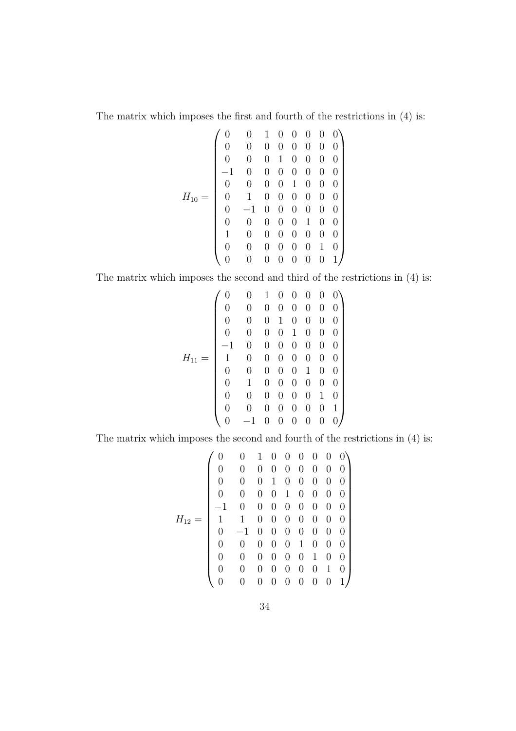The matrix which imposes the first and fourth of the restrictions in (4) is:

$$
H_{10}=\left(\begin{array}{cccccc} 0 & 0 & 1 & 0 & 0 & 0 & 0 & 0 \\ 0 & 0 & 0 & 0 & 0 & 0 & 0 & 0 \\ 0 & 0 & 0 & 1 & 0 & 0 & 0 & 0 \\ -1 & 0 & 0 & 0 & 0 & 0 & 0 & 0 \\ 0 & 0 & 0 & 0 & 1 & 0 & 0 & 0 \\ 0 & 1 & 0 & 0 & 0 & 0 & 0 & 0 \\ 0 & -1 & 0 & 0 & 0 & 0 & 0 & 0 \\ 0 & 0 & 0 & 0 & 0 & 1 & 0 & 0 \\ 1 & 0 & 0 & 0 & 0 & 0 & 0 & 1 \\ 0 & 0 & 0 & 0 & 0 & 0 & 0 & 1 \end{array}\right)
$$

The matrix which imposes the second and third of the restrictions in (4) is:

$$
H_{11}=\left(\begin{array}{cccccc} 0 & 0 & 1 & 0 & 0 & 0 & 0 & 0 \\ 0 & 0 & 0 & 0 & 0 & 0 & 0 & 0 \\ 0 & 0 & 0 & 1 & 0 & 0 & 0 & 0 \\ 0 & 0 & 0 & 0 & 1 & 0 & 0 & 0 \\ -1 & 0 & 0 & 0 & 0 & 0 & 0 & 0 \\ 1 & 0 & 0 & 0 & 0 & 0 & 0 & 0 \\ 0 & 0 & 0 & 0 & 0 & 1 & 0 & 0 \\ 0 & 0 & 0 & 0 & 0 & 0 & 1 & 0 \\ 0 & 0 & 0 & 0 & 0 & 0 & 0 & 1 \\ 0 & -1 & 0 & 0 & 0 & 0 & 0 & 0 \end{array}\right)
$$

The matrix which imposes the second and fourth of the restrictions in (4) is:

$$
H_{12}=\left(\begin{array}{cccccccc} 0&0&1&0&0&0&0&0&0 \\ 0&0&0&0&0&0&0&0&0 \\ 0&0&0&1&0&0&0&0&0 \\ 0&0&0&1&0&0&0&0&0 \\ -1&0&0&0&0&0&0&0&0 \\ 1&1&0&0&0&0&0&0&0 \\ 0&-1&0&0&0&0&0&0&0 \\ 0&0&0&0&0&1&0&0&0 \\ 0&0&0&0&0&0&1&0&0 \\ 0&0&0&0&0&0&0&1&0 \\ 0&0&0&0&0&0&0&0&1\end{array}\right)
$$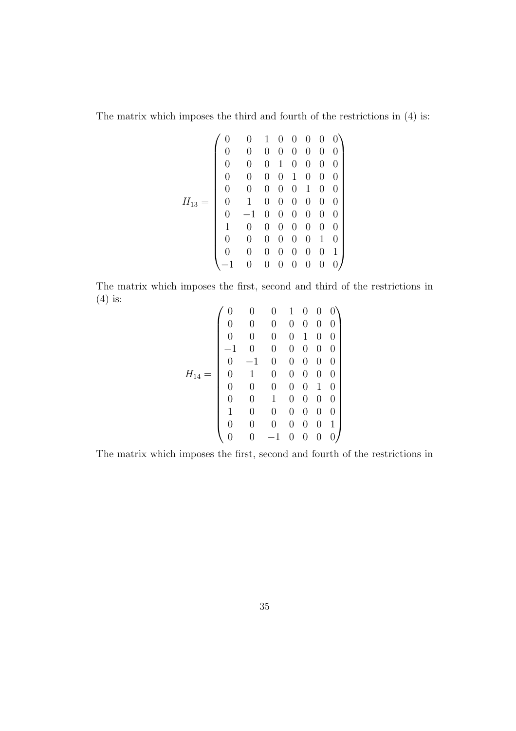The matrix which imposes the third and fourth of the restrictions in (4) is:

$$
H_{13}=\left(\begin{array}{cccccc} 0 & 0 & 1 & 0 & 0 & 0 & 0 & 0 \\ 0 & 0 & 0 & 0 & 0 & 0 & 0 & 0 \\ 0 & 0 & 0 & 1 & 0 & 0 & 0 & 0 \\ 0 & 0 & 0 & 0 & 1 & 0 & 0 & 0 \\ 0 & 0 & 0 & 0 & 0 & 1 & 0 & 0 \\ 0 & -1 & 0 & 0 & 0 & 0 & 0 & 0 \\ 0 & -1 & 0 & 0 & 0 & 0 & 0 & 0 \\ 0 & 0 & 0 & 0 & 0 & 0 & 1 & 0 \\ 0 & 0 & 0 & 0 & 0 & 0 & 0 & 1 \\ -1 & 0 & 0 & 0 & 0 & 0 & 0 & 0 \end{array}\right)
$$

The matrix which imposes the first, second and third of the restrictions in (4) is:

$$
H_{14}=\left(\begin{array}{cccccc} 0 & 0 & 0 & 1 & 0 & 0 & 0 \\ 0 & 0 & 0 & 0 & 0 & 0 & 0 \\ 0 & 0 & 0 & 0 & 1 & 0 & 0 \\ 0 & 0 & 0 & 0 & 1 & 0 & 0 \\ -1 & 0 & 0 & 0 & 0 & 0 & 0 \\ 0 & -1 & 0 & 0 & 0 & 0 & 0 \\ 0 & 0 & 0 & 0 & 0 & 1 & 0 \\ 0 & 0 & 1 & 0 & 0 & 0 & 0 \\ 1 & 0 & 0 & 0 & 0 & 0 & 1 \\ 0 & 0 & -1 & 0 & 0 & 0 & 0 \end{array}\right)
$$

The matrix which imposes the first, second and fourth of the restrictions in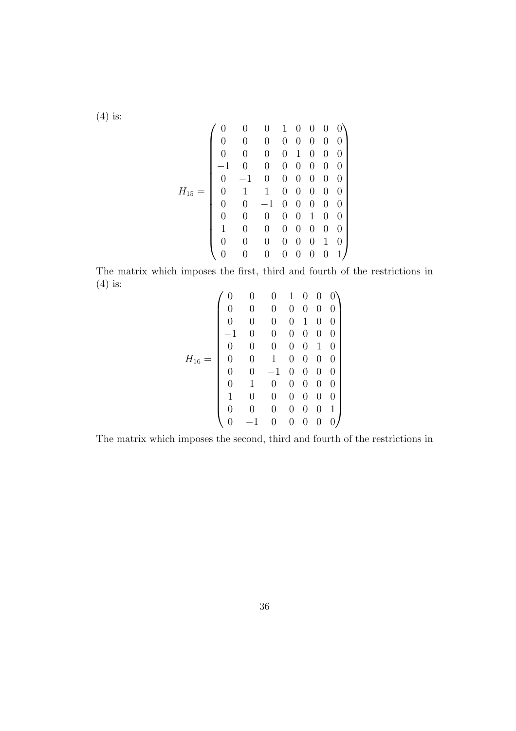(4) is:

$$
H_{15}=\left(\begin{array}{cccccc} 0 & 0 & 0 & 1 & 0 & 0 & 0 & 0 \\ 0 & 0 & 0 & 0 & 0 & 0 & 0 & 0 \\ 0 & 0 & 0 & 0 & 1 & 0 & 0 & 0 \\ -1 & 0 & 0 & 0 & 0 & 0 & 0 & 0 \\ 0 & -1 & 0 & 0 & 0 & 0 & 0 & 0 \\ 0 & 1 & 1 & 0 & 0 & 0 & 0 & 0 \\ 0 & 0 & -1 & 0 & 0 & 0 & 0 & 0 \\ 0 & 0 & 0 & 0 & 0 & 1 & 0 & 0 \\ 1 & 0 & 0 & 0 & 0 & 0 & 0 & 1 \\ 0 & 0 & 0 & 0 & 0 & 0 & 0 & 1 \end{array}\right)
$$

The matrix which imposes the first, third and fourth of the restrictions in (4) is:

$$
H_{16}=\left(\begin{array}{cccccc} 0 & 0 & 0 & 1 & 0 & 0 & 0 \\ 0 & 0 & 0 & 0 & 0 & 0 & 0 \\ 0 & 0 & 0 & 0 & 1 & 0 & 0 \\ -1 & 0 & 0 & 0 & 0 & 0 & 0 \\ 0 & 0 & 0 & 0 & 0 & 1 & 0 \\ 0 & 0 & 1 & 0 & 0 & 0 & 0 \\ 0 & 0 & -1 & 0 & 0 & 0 & 0 \\ 0 & 1 & 0 & 0 & 0 & 0 & 0 \\ 1 & 0 & 0 & 0 & 0 & 0 & 1 \\ 0 & -1 & 0 & 0 & 0 & 0 & 0 \end{array}\right)
$$

The matrix which imposes the second, third and fourth of the restrictions in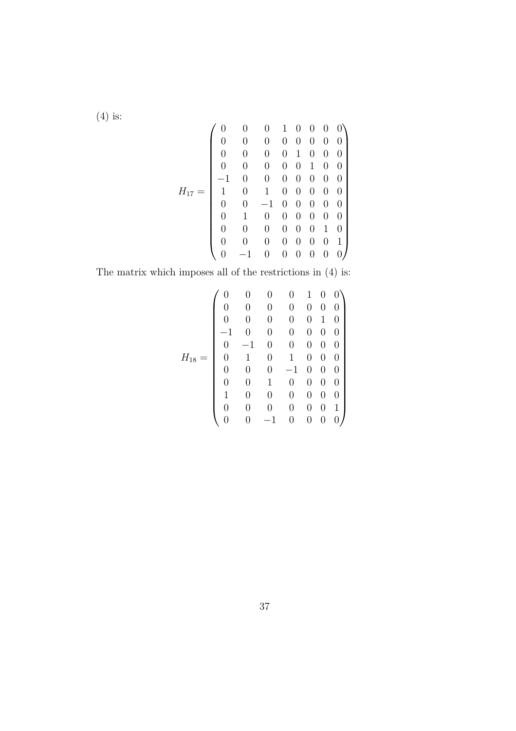(4) is:

$$
H_{17}=\left(\begin{array}{cccccccc} 0 & 0 & 0 & 1 & 0 & 0 & 0 & 0 \\ 0 & 0 & 0 & 0 & 0 & 0 & 0 & 0 \\ 0 & 0 & 0 & 0 & 1 & 0 & 0 & 0 \\ 0 & 0 & 0 & 0 & 0 & 1 & 0 & 0 \\ -1 & 0 & 0 & 0 & 0 & 0 & 0 & 0 \\ 1 & 0 & 1 & 0 & 0 & 0 & 0 & 0 \\ 0 & 0 & -1 & 0 & 0 & 0 & 0 & 0 \\ 0 & 0 & 0 & 0 & 0 & 0 & 1 & 0 \\ 0 & 0 & 0 & 0 & 0 & 0 & 0 & 1 \\ 0 & -1 & 0 & 0 & 0 & 0 & 0 & 0 \end{array}\right)
$$

The matrix which imposes all of the restrictions in (4) is:

$$
H_{18}=\left(\begin{array}{cccccc} 0 & 0 & 0 & 0 & 1 & 0 & 0 \\ 0 & 0 & 0 & 0 & 0 & 0 & 0 \\ 0 & 0 & 0 & 0 & 0 & 1 & 0 \\ -1 & 0 & 0 & 0 & 0 & 0 & 0 \\ 0 & -1 & 0 & 0 & 0 & 0 & 0 \\ 0 & 1 & 0 & 1 & 0 & 0 & 0 \\ 0 & 0 & 0 & -1 & 0 & 0 & 0 \\ 0 & 0 & 1 & 0 & 0 & 0 & 0 \\ 1 & 0 & 0 & 0 & 0 & 0 & 1 \\ 0 & 0 & -1 & 0 & 0 & 0 & 0 \end{array}\right)
$$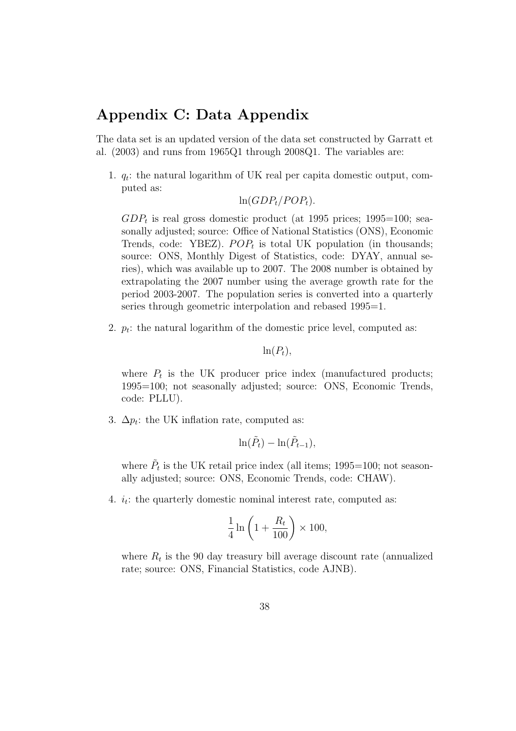## Appendix C: Data Appendix

The data set is an updated version of the data set constructed by Garratt et al. (2003) and runs from 1965Q1 through 2008Q1. The variables are:

1.  $q_t$ : the natural logarithm of UK real per capita domestic output, computed as:

$$
\ln(GDP_t/POP_t).
$$

 $GDP_t$  is real gross domestic product (at 1995 prices; 1995=100; seasonally adjusted; source: Office of National Statistics (ONS), Economic Trends, code: YBEZ).  $POP_t$  is total UK population (in thousands; source: ONS, Monthly Digest of Statistics, code: DYAY, annual series), which was available up to 2007. The 2008 number is obtained by extrapolating the 2007 number using the average growth rate for the period 2003-2007. The population series is converted into a quarterly series through geometric interpolation and rebased 1995=1.

2.  $p_t$ : the natural logarithm of the domestic price level, computed as:

$$
\ln(P_t),
$$

where  $P_t$  is the UK producer price index (manufactured products; 1995=100; not seasonally adjusted; source: ONS, Economic Trends, code: PLLU).

3.  $\Delta p_t$ : the UK inflation rate, computed as:

$$
\ln(\tilde{P}_t) - \ln(\tilde{P}_{t-1}),
$$

where  $\tilde{P}_t$  is the UK retail price index (all items; 1995=100; not seasonally adjusted; source: ONS, Economic Trends, code: CHAW).

4.  $i_t$ : the quarterly domestic nominal interest rate, computed as:

$$
\frac{1}{4}\ln\left(1+\frac{R_t}{100}\right) \times 100,
$$

where  $R_t$  is the 90 day treasury bill average discount rate (annualized rate; source: ONS, Financial Statistics, code AJNB).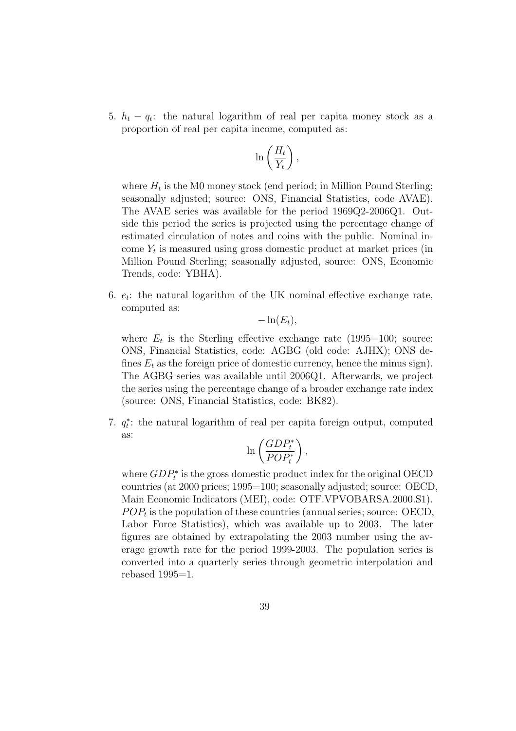5.  $h_t - q_t$ : the natural logarithm of real per capita money stock as a proportion of real per capita income, computed as:

$$
\ln\left(\frac{H_t}{Y_t}\right),\
$$

where  $H_t$  is the M0 money stock (end period; in Million Pound Sterling; seasonally adjusted; source: ONS, Financial Statistics, code AVAE). The AVAE series was available for the period 1969Q2-2006Q1. Outside this period the series is projected using the percentage change of estimated circulation of notes and coins with the public. Nominal income  $Y_t$  is measured using gross domestic product at market prices (in Million Pound Sterling; seasonally adjusted, source: ONS, Economic Trends, code: YBHA).

6.  $e_t$ : the natural logarithm of the UK nominal effective exchange rate, computed as:

 $-\ln(E_t)$ ,

where  $E_t$  is the Sterling effective exchange rate (1995=100; source: ONS, Financial Statistics, code: AGBG (old code: AJHX); ONS defines  $E_t$  as the foreign price of domestic currency, hence the minus sign). The AGBG series was available until 2006Q1. Afterwards, we project the series using the percentage change of a broader exchange rate index (source: ONS, Financial Statistics, code: BK82).

7.  $q_t^*$  $t_i$ : the natural logarithm of real per capita foreign output, computed as:

$$
\ln\left(\frac{GDP_t^*}{POP_t^*}\right),
$$

where  $GDP_t^*$  is the gross domestic product index for the original OECD countries (at 2000 prices; 1995=100; seasonally adjusted; source: OECD, Main Economic Indicators (MEI), code: OTF.VPVOBARSA.2000.S1).  $POP<sub>t</sub>$  is the population of these countries (annual series; source: OECD, Labor Force Statistics), which was available up to 2003. The later figures are obtained by extrapolating the 2003 number using the average growth rate for the period 1999-2003. The population series is converted into a quarterly series through geometric interpolation and rebased  $1995=1$ .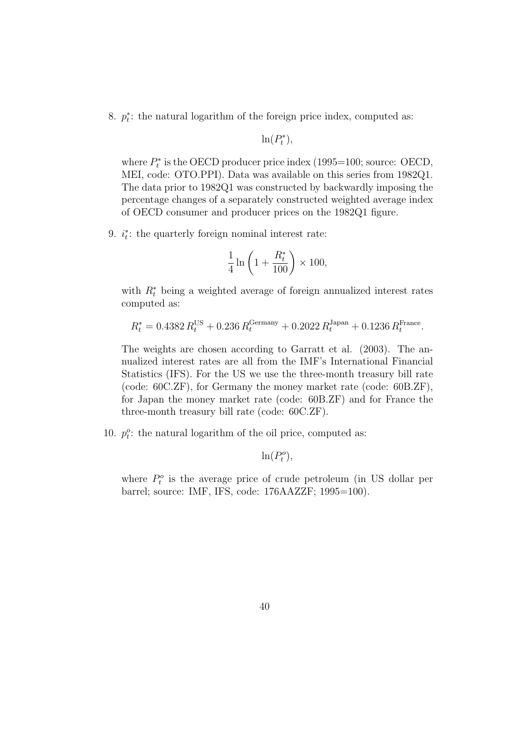8. p ∗  $t$ : the natural logarithm of the foreign price index, computed as:

$$
\ln(P_t^*),
$$

where  $P_t^*$  $t<sup>*</sup>$  is the OECD producer price index (1995=100; source: OECD, MEI, code: OTO.PPI). Data was available on this series from 1982Q1. The data prior to 1982Q1 was constructed by backwardly imposing the percentage changes of a separately constructed weighted average index of OECD consumer and producer prices on the 1982Q1 figure.

9.  $i_t^*$  $t_i$ : the quarterly foreign nominal interest rate:

$$
\frac{1}{4}\ln\left(1+\frac{R^*_t}{100}\right)\times 100,
$$

with  $R_t^*$  being a weighted average of foreign annualized interest rates computed as:

$$
R_t^* = 0.4382 R_t^{\text{US}} + 0.236 R_t^{\text{Germany}} + 0.2022 R_t^{\text{Japan}} + 0.1236 R_t^{\text{France}}.
$$

The weights are chosen according to Garratt et al. (2003). The annualized interest rates are all from the IMF's International Financial Statistics (IFS). For the US we use the three-month treasury bill rate (code: 60C.ZF), for Germany the money market rate (code: 60B.ZF), for Japan the money market rate (code: 60B.ZF) and for France the three-month treasury bill rate (code: 60C.ZF).

10.  $p_t^o$ : the natural logarithm of the oil price, computed as:

 $\ln(P_t^o),$ 

where  $P_t^o$  is the average price of crude petroleum (in US dollar per barrel; source: IMF, IFS, code: 176AAZZF; 1995=100).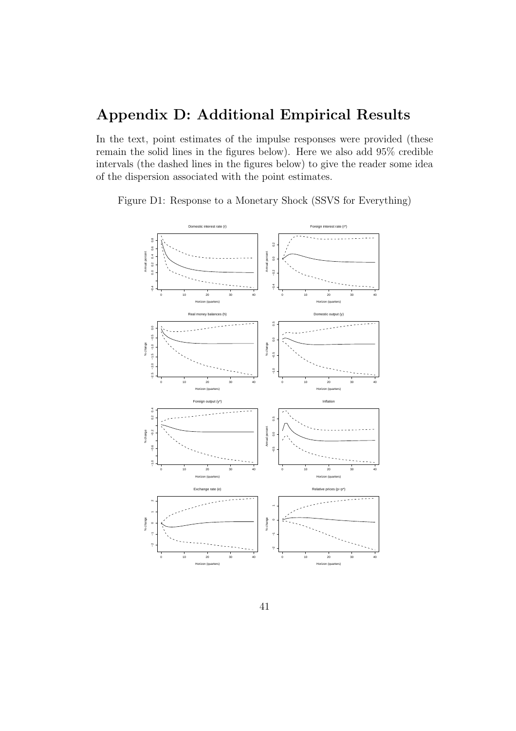# Appendix D: Additional Empirical Results

In the text, point estimates of the impulse responses were provided (these remain the solid lines in the figures below). Here we also add 95% credible intervals (the dashed lines in the figures below) to give the reader some idea of the dispersion associated with the point estimates.

Figure D1: Response to a Monetary Shock (SSVS for Everything)

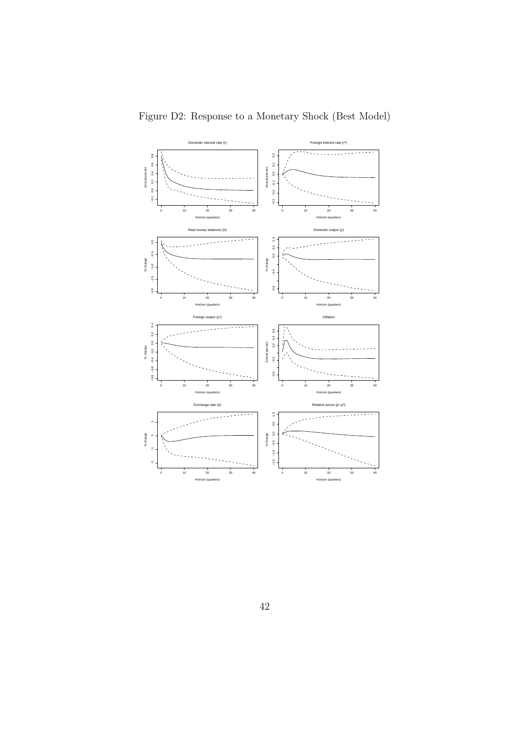

Figure D2: Response to a Monetary Shock (Best Model)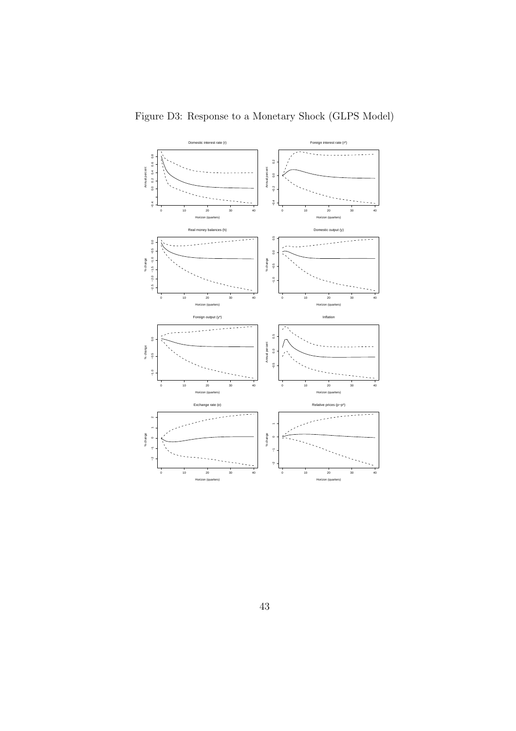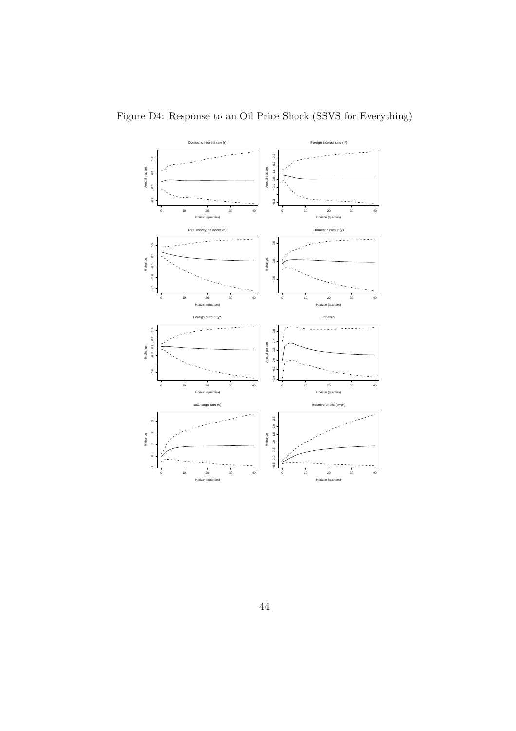

Figure D4: Response to an Oil Price Shock (SSVS for Everything)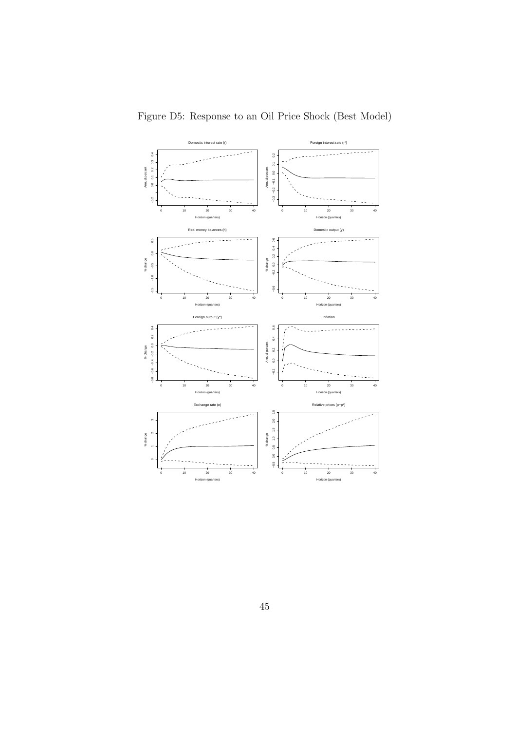

Figure D5: Response to an Oil Price Shock (Best Model)